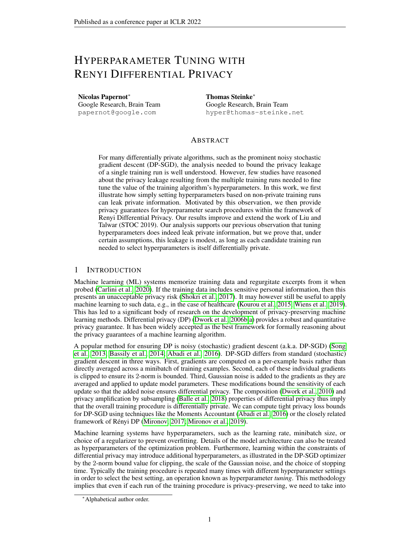# HYPERPARAMETER TUNING WITH RENYI DIFFERENTIAL PRIVACY

Nicolas Papernot<sup>∗</sup> Google Research, Brain Team papernot@google.com

Thomas Steinke<sup>∗</sup> Google Research, Brain Team hyper@thomas-steinke.net

# ABSTRACT

For many differentially private algorithms, such as the prominent noisy stochastic gradient descent (DP-SGD), the analysis needed to bound the privacy leakage of a single training run is well understood. However, few studies have reasoned about the privacy leakage resulting from the multiple training runs needed to fine tune the value of the training algorithm's hyperparameters. In this work, we first illustrate how simply setting hyperparameters based on non-private training runs can leak private information. Motivated by this observation, we then provide privacy guarantees for hyperparameter search procedures within the framework of Renyi Differential Privacy. Our results improve and extend the work of Liu and Talwar (STOC 2019). Our analysis supports our previous observation that tuning hyperparameters does indeed leak private information, but we prove that, under certain assumptions, this leakage is modest, as long as each candidate training run needed to select hyperparameters is itself differentially private.

# 1 INTRODUCTION

Machine learning (ML) systems memorize training data and regurgitate excerpts from it when probed [\(Carlini et al., 2020\)](#page-9-0). If the training data includes sensitive personal information, then this presents an unacceptable privacy risk [\(Shokri et al., 2017\)](#page-10-0). It may however still be useful to apply machine learning to such data, e.g., in the case of healthcare [\(Kourou et al., 2015;](#page-10-1) [Wiens et al., 2019\)](#page-11-0). This has led to a significant body of research on the development of privacy-preserving machine learning methods. Differential privacy (DP) [\(Dwork et al., 2006b](#page-10-2)[;a\)](#page-10-3) provides a robust and quantitative privacy guarantee. It has been widely accepted as the best framework for formally reasoning about the privacy guarantees of a machine learning algorithm.

A popular method for ensuring DP is noisy (stochastic) gradient descent (a.k.a. DP-SGD) [\(Song](#page-10-4) [et al., 2013;](#page-10-4) [Bassily et al., 2014;](#page-9-1) [Abadi et al., 2016\)](#page-9-2). DP-SGD differs from standard (stochastic) gradient descent in three ways. First, gradients are computed on a per-example basis rather than directly averaged across a minibatch of training examples. Second, each of these individual gradients is clipped to ensure its 2-norm is bounded. Third, Gaussian noise is added to the gradients as they are averaged and applied to update model parameters. These modifications bound the sensitivity of each update so that the added noise ensures differential privacy. The composition [\(Dwork et al., 2010\)](#page-10-5) and privacy amplification by subsampling [\(Balle et al., 2018\)](#page-9-3) properties of differential privacy thus imply that the overall training procedure is differentially private. We can compute tight privacy loss bounds for DP-SGD using techniques like the Moments Accountant [\(Abadi et al., 2016\)](#page-9-2) or the closely related framework of Rényi DP [\(Mironov, 2017;](#page-10-6) [Mironov et al., 2019\)](#page-10-7).

Machine learning systems have hyperparameters, such as the learning rate, minibatch size, or choice of a regularizer to prevent overfitting. Details of the model architecture can also be treated as hyperparameters of the optimization problem. Furthermore, learning within the constraints of differential privacy may introduce additional hyperparameters, as illustrated in the DP-SGD optimizer by the 2-norm bound value for clipping, the scale of the Gaussian noise, and the choice of stopping time. Typically the training procedure is repeated many times with different hyperparameter settings in order to select the best setting, an operation known as hyperparameter *tuning*. This methodology implies that even if each run of the training procedure is privacy-preserving, we need to take into

<sup>∗</sup>Alphabetical author order.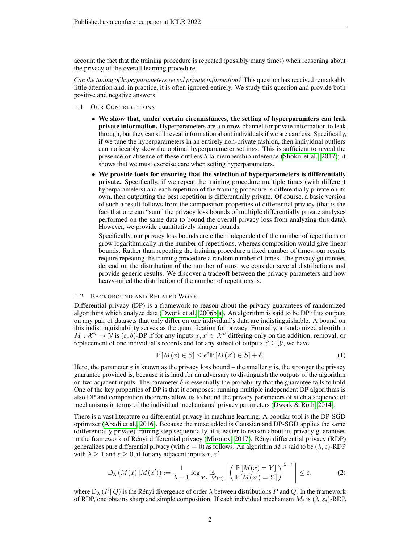account the fact that the training procedure is repeated (possibly many times) when reasoning about the privacy of the overall learning procedure.

*Can the tuning of hyperparameters reveal private information?* This question has received remarkably little attention and, in practice, it is often ignored entirely. We study this question and provide both positive and negative answers.

- 1.1 OUR CONTRIBUTIONS
	- We show that, under certain circumstances, the setting of hyperparamters can leak private information. Hyperparameters are a narrow channel for private information to leak through, but they can still reveal information about individuals if we are careless. Specifically, if we tune the hyperparameters in an entirely non-private fashion, then individual outliers can noticeably skew the optimal hyperparameter settings. This is sufficient to reveal the presence or absence of these outliers à la membership inference [\(Shokri et al., 2017\)](#page-10-0); it shows that we must exercise care when setting hyperparameters.
	- We provide tools for ensuring that the selection of hyperparameters is differentially private. Specifically, if we repeat the training procedure multiple times (with different hyperparameters) and each repetition of the training procedure is differentially private on its own, then outputting the best repetition is differentially private. Of course, a basic version of such a result follows from the composition properties of differential privacy (that is the fact that one can "sum" the privacy loss bounds of multiple differentially private analyses performed on the same data to bound the overall privacy loss from analyzing this data). However, we provide quantitatively sharper bounds.

Specifically, our privacy loss bounds are either independent of the number of repetitions or grow logarithmically in the number of repetitions, whereas composition would give linear bounds. Rather than repeating the training procedure a fixed number of times, our results require repeating the training procedure a random number of times. The privacy guarantees depend on the distribution of the number of runs; we consider several distributions and provide generic results. We discover a tradeoff between the privacy parameters and how heavy-tailed the distribution of the number of repetitions is.

## 1.2 BACKGROUND AND RELATED WORK

Differential privacy (DP) is a framework to reason about the privacy guarantees of randomized algorithms which analyze data [\(Dwork et al., 2006b;](#page-10-2)[a\)](#page-10-3). An algorithm is said to be DP if its outputs on any pair of datasets that only differ on one individual's data are indistinguishable. A bound on this indistinguishability serves as the quantification for privacy. Formally, a randomized algorithm  $M: \mathcal{X}^n \to \mathcal{Y}$  is  $(\varepsilon, \delta)$ -DP if for any inputs  $x, x' \in \mathcal{X}^n$  differing only on the addition, removal, or replacement of one individual's records and for any subset of outputs  $S \subseteq \mathcal{Y}$ , we have

$$
\mathbb{P}\left[M(x)\in S\right]\le e^{\varepsilon}\mathbb{P}\left[M(x')\in S\right]+\delta. \tag{1}
$$

Here, the parameter  $\varepsilon$  is known as the privacy loss bound – the smaller  $\varepsilon$  is, the stronger the privacy guarantee provided is, because it is hard for an adversary to distinguish the outputs of the algorithm on two adjacent inputs. The parameter  $\delta$  is essentially the probability that the guarantee fails to hold. One of the key properties of DP is that it composes: running multiple independent DP algorithms is also DP and composition theorems allow us to bound the privacy parameters of such a sequence of mechanisms in terms of the individual mechanisms' privacy parameters [\(Dwork & Roth, 2014\)](#page-10-8).

There is a vast literature on differential privacy in machine learning. A popular tool is the DP-SGD optimizer [\(Abadi et al., 2016\)](#page-9-2). Because the noise added is Gaussian and DP-SGD applies the same (differentially private) training step sequentially, it is easier to reason about its privacy guarantees in the framework of Rényi differential privacy [\(Mironov, 2017\)](#page-10-6). Rényi differential privacy (RDP) generalizes pure differential privacy (with  $\delta = 0$ ) as follows. An algorithm M is said to be  $(\lambda, \varepsilon)$ -RDP with  $\lambda \geq 1$  and  $\varepsilon \geq 0$ , if for any adjacent inputs  $x, x'$ 

$$
D_{\lambda}\left(M(x)\|M(x')\right) := \frac{1}{\lambda - 1} \log \mathop{\mathbb{E}}_{Y \leftarrow M(x)} \left[\left(\frac{\mathbb{P}\left[M(x) = Y\right]}{\mathbb{P}\left[M(x') = Y\right]}\right)^{\lambda - 1}\right] \le \varepsilon,\tag{2}
$$

where  $D_{\lambda} (P||Q)$  is the Rényi divergence of order  $\lambda$  between distributions P and Q. In the framework of RDP, one obtains sharp and simple composition: If each individual mechanism  $M_i$  is  $(\lambda, \varepsilon_i)$ -RDP,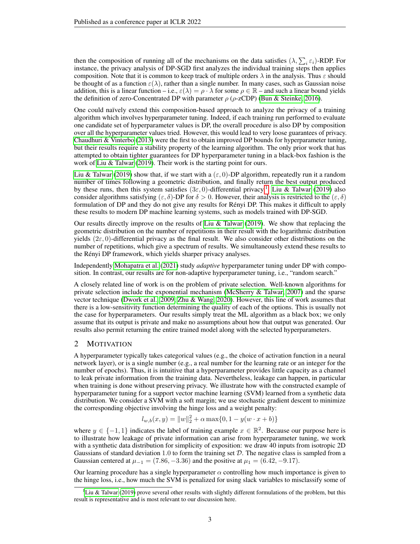then the composition of running all of the mechanisms on the data satisfies  $(\lambda, \sum_i \varepsilon_i)$ -RDP. For instance, the privacy analysis of DP-SGD first analyzes the individual training steps then applies composition. Note that it is common to keep track of multiple orders  $\lambda$  in the analysis. Thus  $\varepsilon$  should be thought of as a function  $\varepsilon(\lambda)$ , rather than a single number. In many cases, such as Gaussian noise addition, this is a linear function – i.e.,  $\varepsilon(\lambda) = \rho \cdot \lambda$  for some  $\rho \in \mathbb{R}$  – and such a linear bound yields the definition of zero-Concentrated DP with parameter  $\rho$  ( $\rho$ -zCDP) [\(Bun & Steinke, 2016\)](#page-9-4).

One could naïvely extend this composition-based approach to analyze the privacy of a training algorithm which involves hyperparameter tuning. Indeed, if each training run performed to evaluate one candidate set of hyperparameter values is DP, the overall procedure is also DP by composition over all the hyperparameter values tried. However, this would lead to very loose guarantees of privacy. [Chaudhuri & Vinterbo](#page-10-9) [\(2013\)](#page-10-9) were the first to obtain improved DP bounds for hyperparameter tuning, but their results require a stability property of the learning algorithm. The only prior work that has attempted to obtain tighter guarantees for DP hyperparameter tuning in a black-box fashion is the work of [Liu & Talwar](#page-10-10) [\(2019\)](#page-10-10). Their work is the starting point for ours.

[Liu & Talwar](#page-10-10) [\(2019\)](#page-10-10) show that, if we start with a  $(\varepsilon, 0)$ -DP algorithm, repeatedly run it a random number of times following a geometric distribution, and finally return the best output produced by these runs, then this system satisfies  $(3\varepsilon, 0)$ -differential privacy.<sup>[1](#page-2-0)</sup> [Liu & Talwar](#page-10-10) [\(2019\)](#page-10-10) also consider algorithms satisfying ( $\varepsilon$ ,  $\delta$ )-DP for  $\delta > 0$ . However, their analysis is restricted to the  $(\varepsilon, \delta)$ formulation of DP and they do not give any results for Rényi DP. This makes it difficult to apply these results to modern DP machine learning systems, such as models trained with DP-SGD.

Our results directly improve on the results of [Liu & Talwar](#page-10-10) [\(2019\)](#page-10-10). We show that replacing the geometric distribution on the number of repetitions in their result with the logarithmic distribution yields  $(2\varepsilon, 0)$ -differential privacy as the final result. We also consider other distributions on the number of repetitions, which give a spectrum of results. We simultaneously extend these results to the Rényi DP framework, which yields sharper privacy analyses.

Independently [Mohapatra et al.](#page-10-11) [\(2021\)](#page-10-11) study *adaptive* hyperparameter tuning under DP with composition. In contrast, our results are for non-adaptive hyperparameter tuning, i.e., "random search."

A closely related line of work is on the problem of private selection. Well-known algorithms for private selection include the exponential mechanism [\(McSherry & Talwar, 2007\)](#page-10-12) and the sparse vector technique [\(Dwork et al., 2009;](#page-10-13) [Zhu & Wang, 2020\)](#page-11-1). However, this line of work assumes that there is a low-sensitivity function determining the quality of each of the options. This is usually not the case for hyperparameters. Our results simply treat the ML algorithm as a black box; we only assume that its output is private and make no assumptions about how that output was generated. Our results also permit returning the entire trained model along with the selected hyperparameters.

# 2 MOTIVATION

A hyperparameter typically takes categorical values (e.g., the choice of activation function in a neural network layer), or is a single number (e.g., a real number for the learning rate or an integer for the number of epochs). Thus, it is intuitive that a hyperparameter provides little capacity as a channel to leak private information from the training data. Nevertheless, leakage can happen, in particular when training is done without preserving privacy. We illustrate how with the constructed example of hyperparameter tuning for a support vector machine learning (SVM) learned from a synthetic data distribution. We consider a SVM with a soft margin; we use stochastic gradient descent to minimize the corresponding objective involving the hinge loss and a weight penalty:

$$
l_{w,b}(x,y) = ||w||_2^2 + \alpha \max\{0, 1 - y(w \cdot x + b)\}\
$$

where  $y \in \{-1, 1\}$  indicates the label of training example  $x \in \mathbb{R}^2$ . Because our purpose here is to illustrate how leakage of private information can arise from hyperparameter tuning, we work with a synthetic data distribution for simplicity of exposition: we draw 40 inputs from isotropic 2D Gaussians of standard deviation 1.0 to form the training set  $D$ . The negative class is sampled from a Gaussian centered at  $\mu_{-1} = (7.86, -3.36)$  and the positive at  $\mu_1 = (6.42, -9.17)$ .

Our learning procedure has a single hyperparameter  $\alpha$  controlling how much importance is given to the hinge loss, i.e., how much the SVM is penalized for using slack variables to misclassify some of

<span id="page-2-0"></span><sup>&</sup>lt;sup>1</sup>[Liu & Talwar](#page-10-10) [\(2019\)](#page-10-10) prove several other results with slightly different formulations of the problem, but this result is representative and is most relevant to our discussion here.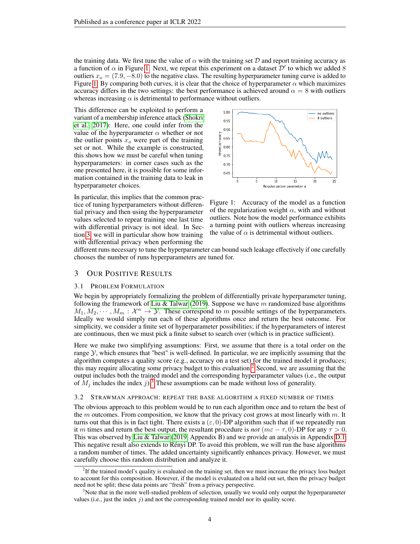the training data. We first tune the value of  $\alpha$  with the training set D and report training accuracy as a function of  $\alpha$  in Figure [1.](#page-3-0) Next, we repeat this experiment on a dataset  $\mathcal{D}'$  to which we added 8 outliers  $x<sub>o</sub> = (7.9, -8.0)$  to the negative class. The resulting hyperparameter tuning curve is added to Figure [1.](#page-3-0) By comparing both curves, it is clear that the choice of hyperparameter  $\alpha$  which maximizes accuracy differs in the two settings: the best performance is achieved around  $\alpha = 8$  with outliers whereas increasing  $\alpha$  is detrimental to performance without outliers.

This difference can be exploited to perform a variant of a membership inference attack [\(Shokri](#page-10-0) [et al., 2017\)](#page-10-0): Here, one could infer from the value of the hyperparameter  $\alpha$  whether or not the outlier points  $x<sub>o</sub>$  were part of the training set or not. While the example is constructed, this shows how we must be careful when tuning hyperparameters: in corner cases such as the one presented here, it is possible for some information contained in the training data to leak in hyperparameter choices.

In particular, this implies that the common practice of tuning hyperparameters without differential privacy and then using the hyperparameter values selected to repeat training one last time with differential privacy is not ideal. In Section [3,](#page-3-1) we will in particular show how training with differential privacy when performing the



<span id="page-3-0"></span>Figure 1: Accuracy of the model as a function of the regularization weight  $\alpha$ , with and without outliers. Note how the model performance exhibits a turning point with outliers whereas increasing the value of  $\alpha$  is detrimental without outliers.

different runs necessary to tune the hyperparameter can bound such leakage effectively if one carefully chooses the number of runs hyperparameters are tuned for.

# <span id="page-3-1"></span>3 OUR POSITIVE RESULTS

## 3.1 PROBLEM FORMULATION

We begin by appropriately formalizing the problem of differentially private hyperparameter tuning, following the framework of [Liu & Talwar](#page-10-10) [\(2019\)](#page-10-10). Suppose we have m randomized base algorithms  $M_1, M_2, \cdots, M_m : \mathcal{X}^n \to \mathcal{Y}$ . These correspond to m possible settings of the hyperparameters. Ideally we would simply run each of these algorithms once and return the best outcome. For simplicity, we consider a finite set of hyperparameter possibilities; if the hyperparameters of interest are continuous, then we must pick a finite subset to search over (which is in practice sufficient).

Here we make two simplifying assumptions: First, we assume that there is a total order on the range  $\mathcal{Y}$ , which ensures that "best" is well-defined. In particular, we are implicitly assuming that the algorithm computes a quality score (e.g., accuracy on a test set) for the trained model it produces; this may require allocating some privacy budget to this evaluation.<sup>[2](#page-3-2)</sup> Second, we are assuming that the output includes both the trained model and the corresponding hyperparameter values (i.e., the output of  $M_i$  includes the index j).<sup>[3](#page-3-3)</sup> These assumptions can be made without loss of generality.

#### <span id="page-3-4"></span>3.2 STRAWMAN APPROACH: REPEAT THE BASE ALGORITHM A FIXED NUMBER OF TIMES

The obvious approach to this problem would be to run each algorithm once and to return the best of the  $m$  outcomes. From composition, we know that the privacy cost grows at most linearly with  $m$ . It turns out that this is in fact tight. There exists a  $(\epsilon, 0)$ -DP algorithm such that if we repeatedly run it m times and return the best output, the resultant procedure is *not* ( $m\epsilon - \tau$ , 0)-DP for any  $\tau > 0$ . This was observed by [Liu & Talwar](#page-10-10) [\(2019,](#page-10-10) Appendix B) and we provide an analysis in Appendix [D.1.](#page-19-0) This negative result also extends to Rényi DP. To avoid this problem, we will run the base algorithms a random number of times. The added uncertainty significantly enhances privacy. However, we must carefully choose this random distribution and analyze it.

<span id="page-3-2"></span><sup>&</sup>lt;sup>2</sup>If the trained model's quality is evaluated on the training set, then we must increase the privacy loss budget to account for this composition. However, if the model is evaluated on a held out set, then the privacy budget need not be split; these data points are "fresh" from a privacy perspective.

<span id="page-3-3"></span><sup>&</sup>lt;sup>3</sup>Note that in the more well-studied problem of selection, usually we would only output the hyperparameter values (i.e., just the index  $j$ ) and not the corresponding trained model nor its quality score.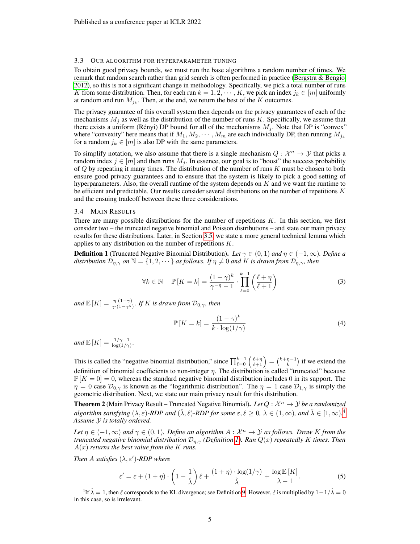#### <span id="page-4-3"></span>3.3 OUR ALGORITHM FOR HYPERPARAMETER TUNING

To obtain good privacy bounds, we must run the base algorithms a random number of times. We remark that random search rather than grid search is often performed in practice [\(Bergstra & Bengio,](#page-9-5) [2012\)](#page-9-5), so this is not a significant change in methodology. Specifically, we pick a total number of runs K from some distribution. Then, for each run  $k = 1, 2, \dots, K$ , we pick an index  $j_k \in [m]$  uniformly at random and run  $M_{j_k}$ . Then, at the end, we return the best of the K outcomes.

The privacy guarantee of this overall system then depends on the privacy guarantees of each of the mechanisms  $M_j$  as well as the distribution of the number of runs K. Specifically, we assume that there exists a uniform (Rényi) DP bound for all of the mechanisms  $M_j$ . Note that DP is "convex" where "convexity" here means that if  $M_1, M_2, \cdots, M_m$  are each individually DP, then running  $M_{j_k}$ for a random  $j_k \in [m]$  is also DP with the same parameters.

To simplify notation, we also assume that there is a single mechanism  $Q : \mathcal{X}^n \to \mathcal{Y}$  that picks a random index  $j \in [m]$  and then runs  $M_j$ . In essence, our goal is to "boost" the success probability of  $Q$  by repeating it many times. The distribution of the number of runs  $K$  must be chosen to both ensure good privacy guarantees and to ensure that the system is likely to pick a good setting of hyperparameters. Also, the overall runtime of the system depends on  $K$  and we want the runtime to be efficient and predictable. Our results consider several distributions on the number of repetitions  $K$ and the ensuing tradeoff between these three considerations.

#### 3.4 MAIN RESULTS

There are many possible distributions for the number of repetitions  $K$ . In this section, we first consider two – the truncated negative binomial and Poisson distributions – and state our main privacy results for these distributions. Later, in Section [3.5,](#page-6-0) we state a more general technical lemma which applies to any distribution on the number of repetitions  $K$ .

<span id="page-4-1"></span>**Definition 1** (Truncated Negative Binomial Distribution). Let  $\gamma \in (0,1)$  and  $\eta \in (-1,\infty)$ *. Define a distribution*  $\mathcal{D}_{\eta,\gamma}$  *on*  $\mathbb{N} = \{1,2,\cdots\}$  *as follows. If*  $\eta \neq 0$  *and* K *is drawn from*  $\mathcal{D}_{\eta,\gamma}$ *, then* 

$$
\forall k \in \mathbb{N} \quad \mathbb{P}\left[K = k\right] = \frac{(1 - \gamma)^k}{\gamma - \eta - 1} \cdot \prod_{\ell=0}^{k-1} \left(\frac{\ell + \eta}{\ell + 1}\right) \tag{3}
$$

and  $\mathbb{E}[K] = \frac{\eta \cdot (1-\gamma)}{\gamma \cdot (1-\gamma^{\eta})}$ . If K is drawn from  $\mathcal{D}_{0,\gamma}$ , then

$$
\mathbb{P}\left[K=k\right] = \frac{(1-\gamma)^k}{k \cdot \log(1/\gamma)}\tag{4}
$$

*and*  $\mathbb{E}[K] = \frac{1/\gamma - 1}{\log(1/\gamma)}$ *.* 

This is called the "negative binomial distribution," since  $\prod_{\ell=0}^{k-1} \left( \frac{\ell+\eta}{\ell+1} \right) = {k+\eta-1 \choose k}$  if we extend the definition of binomial coefficients to non-integer  $\eta$ . The distribution is called "truncated" because  $\mathbb{P}[K=0] = 0$ , whereas the standard negative binomial distribution includes 0 in its support. The  $\eta = 0$  case  $\mathcal{D}_{0,\gamma}$  is known as the "logarithmic distribution". The  $\eta = 1$  case  $\mathcal{D}_{1,\gamma}$  is simply the geometric distribution. Next, we state our main privacy result for this distribution.

<span id="page-4-2"></span>**Theorem 2** (Main Privacy Result – Truncated Negative Binomial). Let  $Q : \mathcal{X}^n \to \mathcal{Y}$  be a randomized *algorithm satisfying*  $(\lambda, \varepsilon)$ -RDP and  $(\hat{\lambda}, \hat{\varepsilon})$ -RDP for some  $\varepsilon, \hat{\varepsilon} \ge 0$ ,  $\lambda \in (1, \infty)$ , and  $\hat{\lambda} \in [1, \infty)$ .<sup>[4](#page-4-0)</sup> *Assume* Y *is totally ordered.*

*Let*  $\eta \in (-1, \infty)$  *and*  $\gamma \in (0, 1)$ *. Define an algorithm*  $A: \mathcal{X}^n \to \mathcal{Y}$  *as follows. Draw K from the truncated negative binomial distribution* Dη,γ *(Definition [1\)](#page-4-1). Run* Q(x) *repeatedly* K *times. Then* A(x) *returns the best value from the* K *runs.*

*Then A satisfies*  $(\lambda, \varepsilon')$ -*RDP* where

$$
\varepsilon' = \varepsilon + (1 + \eta) \cdot \left(1 - \frac{1}{\hat{\lambda}}\right) \hat{\varepsilon} + \frac{(1 + \eta) \cdot \log(1/\gamma)}{\hat{\lambda}} + \frac{\log \mathbb{E}[K]}{\lambda - 1}.\tag{5}
$$

<span id="page-4-0"></span><sup>&</sup>lt;sup>4</sup>If  $\hat{\lambda} = 1$ , then  $\hat{\varepsilon}$  corresponds to the KL divergence; see Definition [9.](#page-11-2) However,  $\hat{\varepsilon}$  is multiplied by  $1-1/\hat{\lambda} = 0$ in this case, so is irrelevant.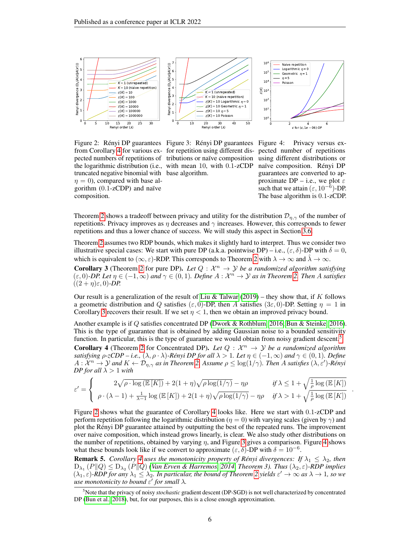

truncated negative binomial with base algorithm.  $\eta = 0$ , compared with base algorithm (0.1-zCDP) and naïve composition.

<span id="page-5-3"></span>Figure 2: Rényi DP guarantees Figure 3: Rényi DP guarantees Figure 4: Privacy versus exfrom Corollary [4](#page-5-0) for various ex-for repetition using different dispected numbers of repetitions of tributions or naïve composition the logarithmic distribution (i.e., with mean 10, with 0.1-zCDP

<span id="page-5-5"></span><span id="page-5-4"></span>pected number of repetitions using different distributions or naïve composition. Rényi DP guarantees are converted to approximate DP – i.e., we plot  $\varepsilon$ such that we attain  $(\varepsilon, 10^{-6})$ -DP. The base algorithm is 0.1-zCDP.

.

Theorem [2](#page-4-2) shows a tradeoff between privacy and utility for the distribution  $\mathcal{D}_{\eta,\gamma}$  of the number of repetitions. Privacy improves as  $\eta$  decreases and  $\gamma$  increases. However, this corresponds to fewer repetitions and thus a lower chance of success. We will study this aspect in Section [3.6.](#page-7-0)

Theorem [2](#page-4-2) assumes two RDP bounds, which makes it slightly hard to interpret. Thus we consider two illustrative special cases: We start with pure DP (a.k.a. pointwise DP) – i.e.,  $(\varepsilon, \delta)$ -DP with  $\delta = 0$ , which is equivalent to ( $\infty$ ,  $\varepsilon$ )-RDP. This corresponds to Theorem [2](#page-4-2) with  $\lambda \to \infty$  and  $\lambda \to \infty$ .

<span id="page-5-1"></span>**Corollary 3** (Theorem [2](#page-4-2) for pure DP). Let  $Q : \mathcal{X}^n \to \mathcal{Y}$  be a randomized algorithm satisfying  $(\varepsilon, 0)$ -DP. Let  $\eta \in (-1, \infty)$  and  $\gamma \in (0, 1)$ . Define  $A : \mathcal{X}^n \to \mathcal{Y}$  as in Theorem [2.](#page-4-2) Then A satisfies  $((2 + \eta)\varepsilon, 0)$ *-DP.* 

Our result is a generalization of the result of [Liu & Talwar](#page-10-10) [\(2019\)](#page-10-10) – they show that, if K follows a geometric distribution and Q satisfies ( $\varepsilon$ , 0)-DP, then A satisfies ( $3\varepsilon$ , 0)-DP. Setting  $\eta = 1$  in Corollary [3](#page-5-1) recovers their result. If we set  $\eta < 1$ , then we obtain an improved privacy bound.

Another example is if Q satisfies concentrated DP [\(Dwork & Rothblum, 2016;](#page-10-14) [Bun & Steinke, 2016\)](#page-9-4). This is the type of guarantee that is obtained by adding Gaussian noise to a bounded sensitivity function. In particular, this is the type of guarantee we would obtain from noisy gradient descent.<sup>[5](#page-5-2)</sup>

<span id="page-5-0"></span>**Corollary 4** (Theorem [2](#page-4-2) for Concentrated DP). Let  $Q : \mathcal{X}^n \to \mathcal{Y}$  be a randomized algorithm *satisfying*  $\rho$ -*zCDP* – *i.e.*,  $(\lambda, \rho \cdot \lambda)$ -Rényi DP for all  $\lambda > 1$ *. Let*  $\eta \in (-1, \infty)$  *and*  $\gamma \in (0, 1)$ *. Define*  $A: \mathcal{X}^n \to \mathcal{Y}$  and  $K \leftarrow \mathcal{D}_{\eta, \gamma}$  as in Theorem [2.](#page-4-2) Assume  $\rho \leq \log(1/\gamma)$ . Then A satisfies  $(\lambda, \varepsilon')$ -Rényi *DP for all*  $\lambda > 1$  *with* 

$$
\varepsilon' = \begin{cases}\n2\sqrt{\rho \cdot \log \left(\mathbb{E}\left[K\right]\right)} + 2(1+\eta)\sqrt{\rho \log(1/\gamma)} - \eta \rho & \text{if } \lambda \leq 1 + \sqrt{\frac{1}{\rho} \log \left(\mathbb{E}\left[K\right]\right)} \\
\rho \cdot (\lambda - 1) + \frac{1}{\lambda - 1} \log \left(\mathbb{E}\left[K\right]\right) + 2(1+\eta)\sqrt{\rho \log(1/\gamma)} - \eta \rho & \text{if } \lambda > 1 + \sqrt{\frac{1}{\rho} \log \left(\mathbb{E}\left[K\right]\right)}\n\end{cases}
$$

Figure [2](#page-5-3) shows what the guarantee of Corollary [4](#page-5-0) looks like. Here we start with 0.1-zCDP and perform repetition following the logarithmic distribution ( $\eta = 0$ ) with varying scales (given by  $\gamma$ ) and plot the Rényi DP guarantee attained by outputting the best of the repeated runs. The improvement over naive composition, which instead grows linearly, is clear. We also study other distributions on the number of repetitions, obtained by varying  $\eta$ , and Figure [3](#page-5-4) gives a comparison. Figure [4](#page-5-5) shows what these bounds look like if we convert to approximate  $(\varepsilon, \delta)$ -DP with  $\delta = 10^{-6}$ .

<span id="page-5-6"></span>**Remark 5.** *Corollary* [4](#page-5-0) *uses the monotonicity property of Rényi divergences: If*  $\lambda_1 \leq \lambda_2$ *, then*  $\rm D_{\lambda_1}$   $(P\|Q)\leq D_{\lambda_2}$   $(P\|Q)$  [\(Van Erven & Harremos, 2014,](#page-11-3) Theorem 3). Thus  $(\lambda_2,\varepsilon)$ -RDP implies  $(\lambda_1, \varepsilon)$ -RDP for any  $\lambda_1 \leq \lambda_2$ . In particular, the bound of Theorem [2](#page-4-2) yields  $\varepsilon' \to \infty$  as  $\lambda \to 1$ , so we *use monotonicity to bound* ε 0 *for small* λ*.*

<span id="page-5-2"></span><sup>5</sup>Note that the privacy of noisy *stochastic* gradient descent (DP-SGD) is not well characterized by concentrated DP [\(Bun et al., 2018\)](#page-9-6), but, for our purposes, this is a close enough approximation.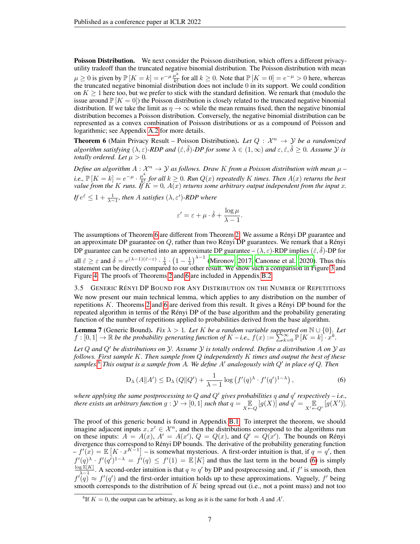Poisson Distribution. We next consider the Poisson distribution, which offers a different privacyutility tradeoff than the truncated negative binomial distribution. The Poisson distribution with mean  $\mu \geq 0$  is given by  $\mathbb{P}[K = k] = e^{-\mu} \frac{\mu^k}{k!}$  $\frac{u^k}{k!}$  for all  $k \ge 0$ . Note that  $\mathbb{P}[K=0] = e^{-\mu} > 0$  here, whereas the truncated negative binomial distribution does not include 0 in its support. We could condition on  $K \geq 1$  here too, but we prefer to stick with the standard definition. We remark that (modulo the issue around  $\mathbb{P}[K=0]$ ) the Poisson distribution is closely related to the truncated negative binomial distribution. If we take the limit as  $\eta \to \infty$  while the mean remains fixed, then the negative binomial distribution becomes a Poisson distribution. Conversely, the negative binomial distribution can be represented as a convex combination of Poisson distributions or as a compound of Poisson and logarithmic; see Appendix [A.2](#page-12-0) for more details.

<span id="page-6-1"></span>**Theorem 6** (Main Privacy Result – Poisson Distribution). Let  $Q : \mathcal{X}^n \to \mathcal{Y}$  be a randomized *algorithm satisfying*  $(\lambda, \varepsilon)$ -*RDP and*  $(\hat{\varepsilon}, \hat{\delta})$ -*DP for some*  $\lambda \in (1, \infty)$  *and*  $\varepsilon, \hat{\varepsilon}, \hat{\delta} \ge 0$ *. Assume*  $\mathcal Y$  *is totally ordered. Let*  $\mu > 0$ *.* 

*Define an algorithm*  $A: \mathcal{X}^n \to \mathcal{Y}$  as follows. Draw K from a Poisson distribution with mean  $\mu$  – *i.e.*,  $\mathbb{P}[K = k] = e^{-\mu} \cdot \frac{\mu^k}{k!}$  $\frac{d}{k!}$  for all  $k \geq 0$ . Run  $Q(x)$  repeatedly K times. Then  $A(x)$  returns the best *value from the* K *runs.* If  $K = 0$ ,  $A(x)$  *returns some arbitrary output independent from the input* x.

*If*  $e^{\hat{\varepsilon}} \leq 1 + \frac{1}{\lambda - 1}$ *, then A satisfies*  $(\lambda, \varepsilon')$ -RDP where

$$
\varepsilon' = \varepsilon + \mu \cdot \hat{\delta} + \frac{\log \mu}{\lambda - 1}.
$$

The assumptions of Theorem [6](#page-6-1) are different from Theorem [2:](#page-4-2) We assume a Rényi DP guarantee and an approximate DP guarantee on  $Q$ , rather than two Rényi DP guarantees. We remark that a Rényi DP guarantee can be converted into an approximate DP guarantee –  $(\lambda, \varepsilon)$ -RDP implies  $(\hat{\varepsilon}, \hat{\delta})$ -DP for all  $\hat{\varepsilon} \geq \varepsilon$  and  $\hat{\delta} = e^{(\lambda - 1)(\hat{\varepsilon} - \varepsilon)} \cdot \frac{1}{\lambda} \cdot \left(1 - \frac{1}{\lambda}\right)^{\lambda - 1}$  [\(Mironov, 2017;](#page-10-6) [Canonne et al., 2020\)](#page-9-7). Thus this statement can be directly compared to our other result. We show such a comparison in Figure [3](#page-5-4) and Figure [4.](#page-5-5) The proofs of Theorems [2](#page-4-2) and [6](#page-6-1) are included in Appendix [B.2.](#page-15-0)

<span id="page-6-0"></span>3.5 GENERIC RÉNYI DP BOUND FOR ANY DISTRIBUTION ON THE NUMBER OF REPETITIONS

We now present our main technical lemma, which applies to any distribution on the number of repetitions K. Theorems [2](#page-4-2) and [6](#page-6-1) are derived from this result. It gives a Rényi DP bound for the repeated algorithm in terms of the Rényi DP of the base algorithm and the probability generating function of the number of repetitions applied to probabilities derived from the base algorithm.

<span id="page-6-4"></span>**Lemma 7** (Generic Bound). *Fix*  $\lambda > 1$ *. Let* K *be a random variable supported on*  $\mathbb{N} \cup \{0\}$ *. Let*  $f : [0,1] \to \mathbb{R}$  be the probability generating function of  $K - i.e., f(x) := \sum_{k=0}^{K} \mathbb{P}[K = k] \cdot x^k$ .

*Let* Q *and* Q<sup>0</sup> *be distributions on* Y*. Assume* Y *is totally ordered. Define a distribution* A *on* Y *as follows. First sample* K*. Then sample from* Q *independently* K *times and output the best of these samples.*[6](#page-6-2) *This output is a sample from* A*. We define* A<sup>0</sup> *analogously with* Q<sup>0</sup> *in place of* Q*. Then*

<span id="page-6-3"></span>
$$
D_{\lambda}(A||A') \le D_{\lambda}(Q||Q') + \frac{1}{\lambda - 1}\log\left(f'(q)^{\lambda} \cdot f'(q')^{1 - \lambda}\right),\tag{6}
$$

where applying the same postprocessing to Q and Q' gives probabilities q and q' respectively – i.e., *there exists an arbitrary function*  $g: \mathcal{Y} \to [0,1]$  *such that*  $q = \mathbb{E}_{X \leftarrow Q}[g(X)]$  *and*  $q' = \mathbb{E}_{X' \leftarrow Q'}[g(X')]$ .

The proof of this generic bound is found in Appendix [B.1.](#page-14-0) To interpret the theorem, we should imagine adjacent inputs  $x, x' \in \mathcal{X}^n$ , and then the distributions correspond to the algorithms run on these inputs:  $A = A(x)$ ,  $A' = A(x')$ ,  $Q = Q(x)$ , and  $Q' = Q(x')$ . The bounds on Rényi divergence thus correspond to Rényi DP bounds. The derivative of the probability generating function  $-f'(\tilde{x}) = \mathbb{E}[K \cdot x^{K-1}]$  – is somewhat mysterious. A first-order intuition is that, if  $q = q'$ , then  $f'(q)^\lambda \cdot f'(q')^{1-\lambda} = f'(q) \leq f'(1) = \mathbb{E}[K]$  and thus the last term in the bound [\(6\)](#page-6-3) is simply  $\log \mathbb{E}[K]$  $\frac{g \mathbb{E}[K]}{\lambda-1}$ . A second-order intuition is that  $q \approx q'$  by DP and postprocessing and, if  $f'$  is smooth, then  $f'(q) \approx f'(q')$  and the first-order intuition holds up to these approximations. Vaguely, f' being smooth corresponds to the distribution of  $K$  being spread out (i.e., not a point mass) and not too

<span id="page-6-2"></span><sup>&</sup>lt;sup>6</sup>If  $K = 0$ , the output can be arbitrary, as long as it is the same for both A and A'.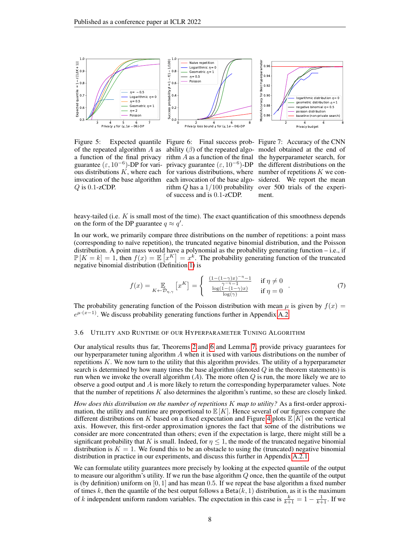

 $Q$  is 0.1-zCDP.

<span id="page-7-1"></span>Figure 5: Expected quantile Figure 6: Final success prob-Figure 7: Accuracy of the CNN of the repeated algorithm A as ability  $(\beta)$  of the repeated algo- model obtained at the end of a function of the final privacy rithm  $A$  as a function of the final the hyperparameter search, for guarantee ( $\varepsilon$ , 10<sup>-6</sup>)-DP for vari- privacy guarantee ( $\varepsilon$ , 10<sup>-6</sup>)-DP the different distributions on the ous distributions  $K$ , where each for various distributions, where number of repetitions  $K$  we coninvocation of the base algorithm each invocation of the base algo-sidered. We report the mean rithm  $Q$  has a  $1/100$  probability over 500 trials of the experiof success and is 0.1-zCDP.

<span id="page-7-3"></span><span id="page-7-2"></span>ment.

heavy-tailed (i.e.  $K$  is small most of the time). The exact quantification of this smoothness depends on the form of the DP guarantee  $q \approx q'$ .

In our work, we primarily compare three distributions on the number of repetitions: a point mass (corresponding to naïve repetition), the truncated negative binomial distribution, and the Poisson distribution. A point mass would have a polynomial as the probability generating function – i.e., if  $\mathbb{P}[K=k] = 1$ , then  $f(x) = \mathbb{E}[x^K] = x^k$ . The probability generating function of the truncated negative binomial distribution (Definition [1\)](#page-4-1) is

$$
f(x) = \mathop{\mathbb{E}}_{K \leftarrow \mathcal{D}_{\eta, \gamma}} \left[ x^K \right] = \begin{cases} \frac{(1 - (1 - \gamma)x)^{-\eta} - 1}{\gamma - \eta - 1} & \text{if } \eta \neq 0\\ \frac{\log(1 - (1 - \gamma)x)}{\log(\gamma)} & \text{if } \eta = 0 \end{cases} \tag{7}
$$

The probability generating function of the Poisson distribution with mean  $\mu$  is given by  $f(x) =$  $e^{\mu \cdot (x-1)}$ . We discuss probability generating functions further in Appendix [A.2.](#page-12-0)

# <span id="page-7-0"></span>3.6 UTILITY AND RUNTIME OF OUR HYPERPARAMETER TUNING ALGORITHM

Our analytical results thus far, Theorems [2](#page-4-2) and [6](#page-6-1) and Lemma [7,](#page-6-4) provide privacy guarantees for our hyperparameter tuning algorithm  $A$  when it is used with various distributions on the number of repetitions  $K$ . We now turn to the utility that this algorithm provides. The utility of a hyperparameter search is determined by how many times the base algorithm (denoted  $Q$  in the theorem statements) is run when we invoke the overall algorithm  $(A)$ . The more often  $Q$  is run, the more likely we are to observe a good output and  $A$  is more likely to return the corresponding hyperparameter values. Note that the number of repetitions  $K$  also determines the algorithm's runtime, so these are closely linked.

*How does this distribution on the number of repetitions* K *map to utility?* As a first-order approximation, the utility and runtime are proportional to  $\mathbb{E}[K]$ . Hence several of our figures compare the different distributions on K based on a fixed expectation and Figure [4](#page-5-5) plots  $\mathbb{E}[K]$  on the vertical axis. However, this first-order approximation ignores the fact that some of the distributions we consider are more concentrated than others; even if the expectation is large, there might still be a significant probability that K is small. Indeed, for  $\eta \leq 1$ , the mode of the truncated negative binomial distribution is  $K = 1$ . We found this to be an obstacle to using the (truncated) negative binomial distribution in practice in our experiments, and discuss this further in Appendix [A.2.1.](#page-13-0)

We can formulate utility guarantees more precisely by looking at the expected quantile of the output to measure our algorithm's utility. If we run the base algorithm  $Q$  once, then the quantile of the output is (by definition) uniform on  $[0, 1]$  and has mean 0.5. If we repeat the base algorithm a fixed number of times k, then the quantile of the best output follows a Beta $(k, 1)$  distribution, as it is the maximum of k independent uniform random variables. The expectation in this case is  $\frac{k}{k+1} = 1 - \frac{1}{k+1}$ . If we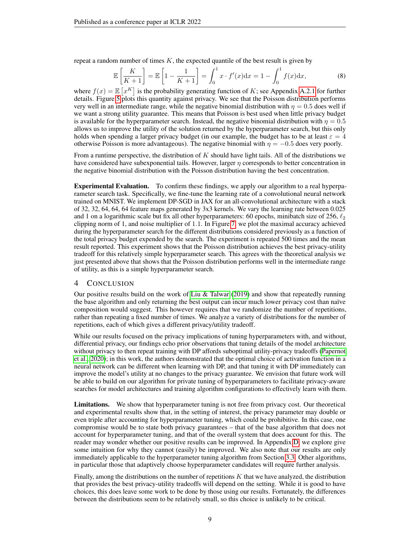repeat a random number of times  $K$ , the expected quantile of the best result is given by

<span id="page-8-0"></span>
$$
\mathbb{E}\left[\frac{K}{K+1}\right] = \mathbb{E}\left[1 - \frac{1}{K+1}\right] = \int_0^1 x \cdot f'(x) dx = 1 - \int_0^1 f(x) dx,
$$
\n(8)

where  $f(x) = \mathbb{E}\left[x^K\right]$  is the probability generating function of K; see Appendix [A.2.1](#page-13-0) for further details. Figure [5](#page-7-1) plots this quantity against privacy. We see that the Poisson distribution performs very well in an intermediate range, while the negative binomial distribution with  $\eta = 0.5$  does well if we want a strong utility guarantee. This means that Poisson is best used when little privacy budget is available for the hyperparameter search. Instead, the negative binomial distribution with  $\eta = 0.5$ allows us to improve the utility of the solution returned by the hyperparameter search, but this only holds when spending a larger privacy budget (in our example, the budget has to be at least  $\varepsilon = 4$ otherwise Poisson is more advantageous). The negative binomial with  $\eta = -0.5$  does very poorly.

From a runtime perspective, the distribution of  $K$  should have light tails. All of the distributions we have considered have subexponential tails. However, larger  $\eta$  corresponds to better concentration in the negative binomial distribution with the Poisson distribution having the best concentration.

Experimental Evaluation. To confirm these findings, we apply our algorithm to a real hyperparameter search task. Specifically, we fine-tune the learning rate of a convolutional neural network trained on MNIST. We implement DP-SGD in JAX for an all-convolutional architecture with a stack of 32, 32, 64, 64, 64 feature maps generated by 3x3 kernels. We vary the learning rate between 0.025 and 1 on a logarithmic scale but fix all other hyperparameters: 60 epochs, minibatch size of 256,  $\ell_2$ clipping norm of 1, and noise multiplier of 1.1. In Figure [7,](#page-7-2) we plot the maximal accuracy achieved during the hyperparameter search for the different distributions considered previously as a function of the total privacy budget expended by the search. The experiment is repeated 500 times and the mean result reported. This experiment shows that the Poisson distribution achieves the best privacy-utility tradeoff for this relatively simple hyperparameter search. This agrees with the theoretical analysis we just presented above that shows that the Poisson distribution performs well in the intermediate range of utility, as this is a simple hyperparameter search.

# 4 CONCLUSION

Our positive results build on the work of [Liu & Talwar](#page-10-10) [\(2019\)](#page-10-10) and show that repeatedly running the base algorithm and only returning the best output can incur much lower privacy cost than naïve composition would suggest. This however requires that we randomize the number of repetitions, rather than repeating a fixed number of times. We analyze a variety of distributions for the number of repetitions, each of which gives a different privacy/utility tradeoff.

While our results focused on the privacy implications of tuning hyperparameters with, and without, differential privacy, our findings echo prior observations that tuning details of the model architecture without privacy to then repeat training with DP affords suboptimal utility-privacy tradeoffs [\(Papernot](#page-10-15) [et al., 2020\)](#page-10-15); in this work, the authors demonstrated that the optimal choice of activation function in a neural network can be different when learning with DP, and that tuning it with DP immediately can improve the model's utility at no changes to the privacy guarantee. We envision that future work will be able to build on our algorithm for private tuning of hyperparameters to facilitate privacy-aware searches for model architectures and training algorithm configurations to effectively learn with them.

Limitations. We show that hyperparameter tuning is not free from privacy cost. Our theoretical and experimental results show that, in the setting of interest, the privacy parameter may double or even triple after accounting for hyperparameter tuning, which could be prohibitive. In this case, one compromise would be to state both privacy guarantees – that of the base algorithm that does not account for hyperparameter tuning, and that of the overall system that does account for this. The reader may wonder whether our positive results can be improved. In Appendix [D,](#page-19-1) we explore give some intuition for why they cannot (easily) be improved. We also note that our results are only immediately applicable to the hyperparameter tuning algorithm from Section [3.3.](#page-4-3) Other algorithms, in particular those that adaptively choose hyperparameter candidates will require further analysis.

Finally, among the distributions on the number of repetitions  $K$  that we have analyzed, the distribution that provides the best privacy-utility tradeoffs will depend on the setting. While it is good to have choices, this does leave some work to be done by those using our results. Fortunately, the differences between the distributions seem to be relatively small, so this choice is unlikely to be critical.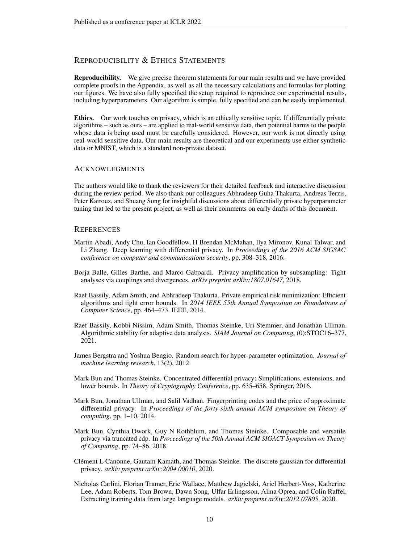# REPRODUCIBILITY & ETHICS STATEMENTS

Reproducibility. We give precise theorem statements for our main results and we have provided complete proofs in the Appendix, as well as all the necessary calculations and formulas for plotting our figures. We have also fully specified the setup required to reproduce our experimental results, including hyperparameters. Our algorithm is simple, fully specified and can be easily implemented.

Ethics. Our work touches on privacy, which is an ethically sensitive topic. If differentially private algorithms – such as ours – are applied to real-world sensitive data, then potential harms to the people whose data is being used must be carefully considered. However, our work is not directly using real-world sensitive data. Our main results are theoretical and our experiments use either synthetic data or MNIST, which is a standard non-private dataset.

## **ACKNOWLEGMENTS**

The authors would like to thank the reviewers for their detailed feedback and interactive discussion during the review period. We also thank our colleagues Abhradeep Guha Thakurta, Andreas Terzis, Peter Kairouz, and Shuang Song for insightful discussions about differentially private hyperparameter tuning that led to the present project, as well as their comments on early drafts of this document.

## **REFERENCES**

- <span id="page-9-2"></span>Martin Abadi, Andy Chu, Ian Goodfellow, H Brendan McMahan, Ilya Mironov, Kunal Talwar, and Li Zhang. Deep learning with differential privacy. In *Proceedings of the 2016 ACM SIGSAC conference on computer and communications security*, pp. 308–318, 2016.
- <span id="page-9-3"></span>Borja Balle, Gilles Barthe, and Marco Gaboardi. Privacy amplification by subsampling: Tight analyses via couplings and divergences. *arXiv preprint arXiv:1807.01647*, 2018.
- <span id="page-9-1"></span>Raef Bassily, Adam Smith, and Abhradeep Thakurta. Private empirical risk minimization: Efficient algorithms and tight error bounds. In *2014 IEEE 55th Annual Symposium on Foundations of Computer Science*, pp. 464–473. IEEE, 2014.
- <span id="page-9-9"></span>Raef Bassily, Kobbi Nissim, Adam Smith, Thomas Steinke, Uri Stemmer, and Jonathan Ullman. Algorithmic stability for adaptive data analysis. *SIAM Journal on Computing*, (0):STOC16–377, 2021.
- <span id="page-9-5"></span>James Bergstra and Yoshua Bengio. Random search for hyper-parameter optimization. *Journal of machine learning research*, 13(2), 2012.
- <span id="page-9-4"></span>Mark Bun and Thomas Steinke. Concentrated differential privacy: Simplifications, extensions, and lower bounds. In *Theory of Cryptography Conference*, pp. 635–658. Springer, 2016.
- <span id="page-9-8"></span>Mark Bun, Jonathan Ullman, and Salil Vadhan. Fingerprinting codes and the price of approximate differential privacy. In *Proceedings of the forty-sixth annual ACM symposium on Theory of computing*, pp. 1–10, 2014.
- <span id="page-9-6"></span>Mark Bun, Cynthia Dwork, Guy N Rothblum, and Thomas Steinke. Composable and versatile privacy via truncated cdp. In *Proceedings of the 50th Annual ACM SIGACT Symposium on Theory of Computing*, pp. 74–86, 2018.
- <span id="page-9-7"></span>Clément L Canonne, Gautam Kamath, and Thomas Steinke. The discrete gaussian for differential privacy. *arXiv preprint arXiv:2004.00010*, 2020.
- <span id="page-9-0"></span>Nicholas Carlini, Florian Tramer, Eric Wallace, Matthew Jagielski, Ariel Herbert-Voss, Katherine Lee, Adam Roberts, Tom Brown, Dawn Song, Ulfar Erlingsson, Alina Oprea, and Colin Raffel. Extracting training data from large language models. *arXiv preprint arXiv:2012.07805*, 2020.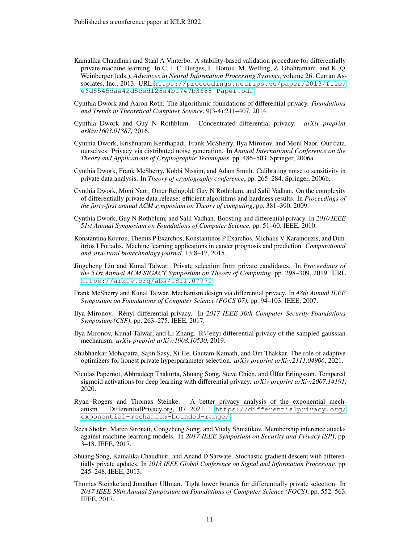- <span id="page-10-9"></span>Kamalika Chaudhuri and Staal A Vinterbo. A stability-based validation procedure for differentially private machine learning. In C. J. C. Burges, L. Bottou, M. Welling, Z. Ghahramani, and K. Q. Weinberger (eds.), *Advances in Neural Information Processing Systems*, volume 26. Curran Associates, Inc., 2013. URL [https://proceedings.neurips.cc/paper/2013/file/](https://proceedings.neurips.cc/paper/2013/file/e6d8545daa42d5ced125a4bf747b3688-Paper.pdf) [e6d8545daa42d5ced125a4bf747b3688-Paper.pdf](https://proceedings.neurips.cc/paper/2013/file/e6d8545daa42d5ced125a4bf747b3688-Paper.pdf).
- <span id="page-10-8"></span>Cynthia Dwork and Aaron Roth. The algorithmic foundations of differential privacy. *Foundations and Trends in Theoretical Computer Science*, 9(3-4):211–407, 2014.
- <span id="page-10-14"></span>Cynthia Dwork and Guy N Rothblum. Concentrated differential privacy. *arXiv preprint arXiv:1603.01887*, 2016.
- <span id="page-10-3"></span>Cynthia Dwork, Krishnaram Kenthapadi, Frank McSherry, Ilya Mironov, and Moni Naor. Our data, ourselves: Privacy via distributed noise generation. In *Annual International Conference on the Theory and Applications of Cryptographic Techniques*, pp. 486–503. Springer, 2006a.
- <span id="page-10-2"></span>Cynthia Dwork, Frank McSherry, Kobbi Nissim, and Adam Smith. Calibrating noise to sensitivity in private data analysis. In *Theory of cryptography conference*, pp. 265–284. Springer, 2006b.
- <span id="page-10-13"></span>Cynthia Dwork, Moni Naor, Omer Reingold, Guy N Rothblum, and Salil Vadhan. On the complexity of differentially private data release: efficient algorithms and hardness results. In *Proceedings of the forty-first annual ACM symposium on Theory of computing*, pp. 381–390, 2009.
- <span id="page-10-5"></span>Cynthia Dwork, Guy N Rothblum, and Salil Vadhan. Boosting and differential privacy. In *2010 IEEE 51st Annual Symposium on Foundations of Computer Science*, pp. 51–60. IEEE, 2010.
- <span id="page-10-1"></span>Konstantina Kourou, Themis P Exarchos, Konstantinos P Exarchos, Michalis V Karamouzis, and Dimitrios I Fotiadis. Machine learning applications in cancer prognosis and prediction. *Computational and structural biotechnology journal*, 13:8–17, 2015.
- <span id="page-10-10"></span>Jingcheng Liu and Kunal Talwar. Private selection from private candidates. In *Proceedings of the 51st Annual ACM SIGACT Symposium on Theory of Computing*, pp. 298–309, 2019. URL <https://arxiv.org/abs/1811.07971>.
- <span id="page-10-12"></span>Frank McSherry and Kunal Talwar. Mechanism design via differential privacy. In *48th Annual IEEE Symposium on Foundations of Computer Science (FOCS'07)*, pp. 94–103. IEEE, 2007.
- <span id="page-10-6"></span>Ilya Mironov. Rényi differential privacy. In *2017 IEEE 30th Computer Security Foundations Symposium (CSF)*, pp. 263–275. IEEE, 2017.
- <span id="page-10-7"></span>Ilya Mironov, Kunal Talwar, and Li Zhang. R\'enyi differential privacy of the sampled gaussian mechanism. *arXiv preprint arXiv:1908.10530*, 2019.
- <span id="page-10-11"></span>Shubhankar Mohapatra, Sajin Sasy, Xi He, Gautam Kamath, and Om Thakkar. The role of adaptive optimizers for honest private hyperparameter selection. *arXiv preprint arXiv:2111.04906*, 2021.
- <span id="page-10-15"></span>Nicolas Papernot, Abhradeep Thakurta, Shuang Song, Steve Chien, and Úlfar Erlingsson. Tempered sigmoid activations for deep learning with differential privacy. *arXiv preprint arXiv:2007.14191*, 2020.
- <span id="page-10-16"></span>Ryan Rogers and Thomas Steinke. A better privacy analysis of the exponential mechanism. DifferentialPrivacy.org, 07 2021. [https://differentialprivacy.org/](https://differentialprivacy.org/exponential-mechanism-bounded-range/) [exponential-mechanism-bounded-range/](https://differentialprivacy.org/exponential-mechanism-bounded-range/).
- <span id="page-10-0"></span>Reza Shokri, Marco Stronati, Congzheng Song, and Vitaly Shmatikov. Membership inference attacks against machine learning models. In *2017 IEEE Symposium on Security and Privacy (SP)*, pp. 3–18. IEEE, 2017.
- <span id="page-10-4"></span>Shuang Song, Kamalika Chaudhuri, and Anand D Sarwate. Stochastic gradient descent with differentially private updates. In *2013 IEEE Global Conference on Signal and Information Processing*, pp. 245–248. IEEE, 2013.
- <span id="page-10-17"></span>Thomas Steinke and Jonathan Ullman. Tight lower bounds for differentially private selection. In *2017 IEEE 58th Annual Symposium on Foundations of Computer Science (FOCS)*, pp. 552–563. IEEE, 2017.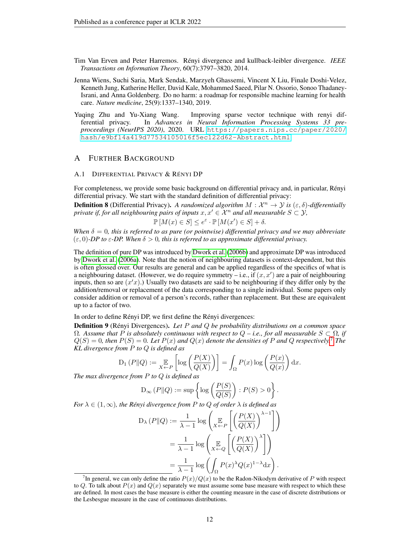- <span id="page-11-3"></span>Tim Van Erven and Peter Harremos. Rényi divergence and kullback-leibler divergence. *IEEE Transactions on Information Theory*, 60(7):3797–3820, 2014.
- <span id="page-11-0"></span>Jenna Wiens, Suchi Saria, Mark Sendak, Marzyeh Ghassemi, Vincent X Liu, Finale Doshi-Velez, Kenneth Jung, Katherine Heller, David Kale, Mohammed Saeed, Pilar N. Ossorio, Sonoo Thadaney-Israni, and Anna Goldenberg. Do no harm: a roadmap for responsible machine learning for health care. *Nature medicine*, 25(9):1337–1340, 2019.
- <span id="page-11-1"></span>Yuqing Zhu and Yu-Xiang Wang. Improving sparse vector technique with renyi differential privacy. In *Advances in Neural Information Processing Systems 33 preproceedings (NeurIPS 2020)*, 2020. URL [https://papers.nips.cc/paper/2020/](https://papers.nips.cc/paper/2020/hash/e9bf14a419d77534105016f5ec122d62-Abstract.html) [hash/e9bf14a419d77534105016f5ec122d62-Abstract.html](https://papers.nips.cc/paper/2020/hash/e9bf14a419d77534105016f5ec122d62-Abstract.html).

# A FURTHER BACKGROUND

## A.1 DIFFERENTIAL PRIVACY & RÉNYI DP

For completeness, we provide some basic background on differential privacy and, in particular, Rényi differential privacy. We start with the standard definition of differential privacy:

**Definition 8** (Differential Privacy). A randomized algorithm  $M : \mathcal{X}^n \to \mathcal{Y}$  is  $(\varepsilon, \delta)$ -differentially *private if, for all neighbouring pairs of inputs*  $x, x' \in \mathcal{X}^n$  *and all measurable*  $S \subset \mathcal{Y}$ *,* 

$$
\mathbb{P}[M(x) \in S] \le e^{\varepsilon} \cdot \mathbb{P}[M(x') \in S] + \delta.
$$

*When*  $\delta = 0$ *, this is referred to as pure (or pointwise) differential privacy and we may abbreviate*  $(\varepsilon, 0)$ *-DP to*  $\varepsilon$ -DP. When  $\delta > 0$ , this is referred to as approximate differential privacy.

The definition of pure DP was introduced by [Dwork et al.](#page-10-2) [\(2006b\)](#page-10-2) and approximate DP was introduced by [Dwork et al.](#page-10-3) [\(2006a\)](#page-10-3). Note that the notion of neighbouring datasets is context-dependent, but this is often glossed over. Our results are general and can be applied regardless of the specifics of what is a neighbouring dataset. (However, we do require symmetry – i.e., if  $(x, x')$  are a pair of neighbouring inputs, then so are  $(x'x)$ .) Usually two datasets are said to be neighbouring if they differ only by the addition/removal or replacement of the data corresponding to a single individual. Some papers only consider addition or removal of a person's records, rather than replacement. But these are equivalent up to a factor of two.

## In order to define Rényi DP, we first define the Rényi divergences:

<span id="page-11-2"></span>Definition 9 (Rényi Divergences). *Let* P *and* Q *be probability distributions on a common space* Ω*. Assume that* P *is absolutely continuous with respect to* Q *– i.e., for all measurable* S ⊂ Ω*, if*  $Q(S) = 0$ , then  $P(S) = 0$ . Let  $P(x)$  and  $Q(x)$  denote the densities of P and Q respectively.<sup>[7](#page-11-4)</sup> The *KL divergence from* P *to* Q *is defined as*

$$
D_1(P||Q) := \mathop{\mathbb{E}}_{X \leftarrow P} \left[ \log \left( \frac{P(X)}{Q(X)} \right) \right] = \int_{\Omega} P(x) \log \left( \frac{P(x)}{Q(x)} \right) dx.
$$

*The max divergence from* P *to* Q *is defined as*

$$
D_{\infty}(P||Q) := \sup \left\{ \log \left( \frac{P(S)}{Q(S)} \right) : P(S) > 0 \right\}.
$$

*For*  $\lambda \in (1, \infty)$ *, the Rényi divergence from P to Q of order*  $\lambda$  *is defined as* 

$$
D_{\lambda} (P||Q) := \frac{1}{\lambda - 1} \log \left( \mathop{\mathbb{E}}_{X \leftarrow P} \left[ \left( \frac{P(X)}{Q(X)} \right)^{\lambda - 1} \right] \right)
$$
  
= 
$$
\frac{1}{\lambda - 1} \log \left( \mathop{\mathbb{E}}_{X \leftarrow Q} \left[ \left( \frac{P(X)}{Q(X)} \right)^{\lambda} \right] \right)
$$
  
= 
$$
\frac{1}{\lambda - 1} \log \left( \int_{\Omega} P(x)^{\lambda} Q(x)^{1 - \lambda} dx \right).
$$

<span id="page-11-4"></span><sup>&</sup>lt;sup>7</sup>In general, we can only define the ratio  $P(x)/Q(x)$  to be the Radon-Nikodym derivative of P with respect to Q. To talk about  $P(x)$  and  $Q(x)$  separately we must assume some base measure with respect to which these are defined. In most cases the base measure is either the counting measure in the case of discrete distributions or the Lesbesgue measure in the case of continuous distributions.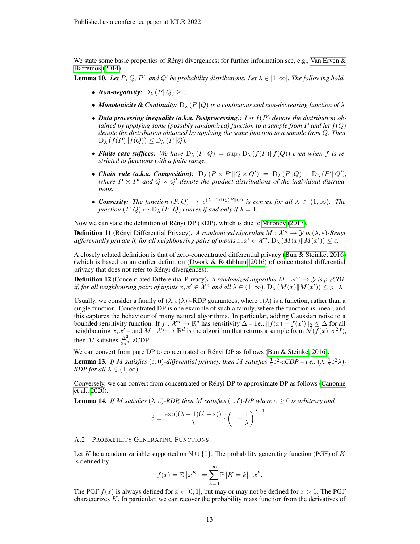We state some basic properties of Rényi divergences; for further information see, e.g., [Van Erven &](#page-11-3) [Harremos](#page-11-3) [\(2014\)](#page-11-3).

<span id="page-12-1"></span>**Lemma 10.** *Let* P, Q, P', and Q' be probability distributions. Let  $\lambda \in [1, \infty]$ . The following hold.

- *Non-negativity:*  $D_{\lambda} (P||Q) > 0$ .
- *Monotonicity & Continuity:*  $D_{\lambda} (P||Q)$  *is a continuous and non-decreasing function of*  $\lambda$ *.*
- *Data processing inequality (a.k.a. Postprocessing): Let* f(P) *denote the distribution obtained by applying some (possibly randomized) function to a sample from* P *and let*  $f(Q)$ *denote the distribution obtained by applying the same function to a sample from* Q*. Then*  $D_{\lambda} (f(P) || f(Q)) \leq D_{\lambda} (P || Q).$
- **Finite case suffices:** We have  $D_{\lambda}(P||Q) = \sup_{f} D_{\lambda}(f(P)||f(Q))$  even when f is re*stricted to functions with a finite range.*
- *Chain rule (a.k.a. Composition):*  $D_{\lambda} (P \times P' || Q \times Q') = D_{\lambda} (P || Q) + D_{\lambda} (P' || Q'),$ where  $P \times P'$  and  $Q \times Q'$  denote the product distributions of the individual distribu*tions.*
- **Convexity:** The function  $(P,Q) \mapsto e^{(\lambda-1)D_{\lambda}(P||Q)}$  is convex for all  $\lambda \in (1,\infty)$ . The *function*  $(P, Q) \mapsto D_{\lambda} (P||Q)$  *convex if and only if*  $\lambda = 1$ *.*

Now we can state the definition of Rényi DP (RDP), which is due to [Mironov](#page-10-6) [\(2017\)](#page-10-6).

**Definition 11** (Rényi Differential Privacy). A randomized algorithm  $M : \mathcal{X}^n \to \mathcal{Y}$  is  $(\lambda, \varepsilon)$ -Rényi differentially private if, for all neighbouring pairs of inputs  $x, x' \in \mathcal{X}^n$ ,  $D_\lambda(M(x) \| M(x')) \leq \varepsilon$ .

A closely related definition is that of zero-concentrated differential privacy [\(Bun & Steinke, 2016\)](#page-9-4) (which is based on an earlier definition [\(Dwork & Rothblum, 2016\)](#page-10-14) of concentrated differential privacy that does not refer to Rényi divergences).

**Definition 12** (Concentrated Differential Privacy). A randomized algorithm  $M : \mathcal{X}^n \to \mathcal{Y}$  is  $\rho$ -zCDP *if, for all neighbouring pairs of inputs*  $x, x' \in \mathcal{X}^n$  *and all*  $\lambda \in (1,\infty)$ ,  $D_\lambda(M(x)||M(x')) \le \rho \cdot \lambda$ .

Usually, we consider a family of  $(\lambda, \varepsilon(\lambda))$ -RDP guarantees, where  $\varepsilon(\lambda)$  is a function, rather than a single function. Concentrated DP is one example of such a family, where the function is linear, and this captures the behaviour of many natural algorithms. In particular, adding Gaussian noise to a bounded sensitivity function: If  $f: \mathcal{X}^n \to \mathbb{R}^d$  has sensitivity  $\Delta - i.e., ||f(x) - f(x')||_2 \leq \Delta$  for all neighbouring  $x, x^{\prime}$  – and  $M : \mathcal{X}^{n} \to \mathbb{R}^{d}$  is the algorithm that returns a sample from  $\mathcal{N}(\overline{f}(x), \sigma^{2}I)$ , then M satisfies  $\frac{\Delta^2}{2\sigma^2}$ -zCDP.

We can convert from pure DP to concentrated or Rényi DP as follows [\(Bun & Steinke, 2016\)](#page-9-4).

**Lemma 13.** If M satisfies  $(\varepsilon, 0)$ -differential privacy, then M satisfies  $\frac{1}{2}\varepsilon^2$ -zCDP – i.e.,  $(\lambda, \frac{1}{2}\varepsilon^2\lambda)$ -*RDP for all*  $\lambda \in (1, \infty)$ *.* 

Conversely, we can convert from concentrated or Rényi DP to approximate DP as follows [\(Canonne](#page-9-7) [et al., 2020\)](#page-9-7).

**Lemma 14.** *If* M *satisfies*  $(\lambda, \hat{\varepsilon})$ *-RDP, then* M *satisfies*  $(\varepsilon, \delta)$ *-DP where*  $\varepsilon \geq 0$  *is arbitrary and* 

$$
\delta = \frac{\exp((\lambda - 1)(\hat{\varepsilon} - \varepsilon))}{\lambda} \cdot \left(1 - \frac{1}{\lambda}\right)^{\lambda - 1}.
$$

#### <span id="page-12-0"></span>A.2 PROBABILITY GENERATING FUNCTIONS

Let K be a random variable supported on  $\mathbb{N} \cup \{0\}$ . The probability generating function (PGF) of K is defined by

$$
f(x) = \mathbb{E}\left[x^K\right] = \sum_{k=0}^{\infty} \mathbb{P}\left[K = k\right] \cdot x^k.
$$

The PGF  $f(x)$  is always defined for  $x \in [0, 1]$ , but may or may not be defined for  $x > 1$ . The PGF characterizes K. In particular, we can recover the probability mass function from the derivatives of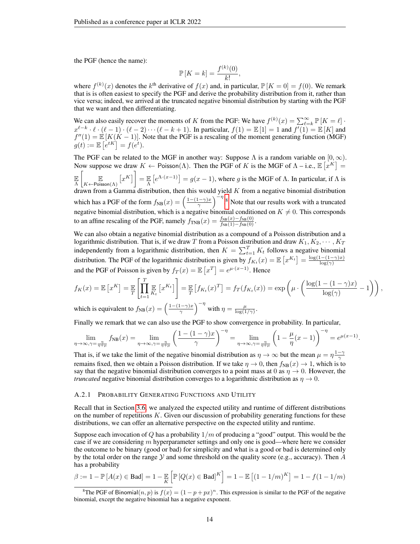the PGF (hence the name):

$$
\mathbb{P}\left[K=k\right] = \frac{f^{(k)}(0)}{k!},
$$

where  $f^{(k)}(x)$  denotes the  $k^{\text{th}}$  derivative of  $f(x)$  and, in particular,  $\mathbb{P}[K=0] = f(0)$ . We remark that is is often easiest to specify the PGF and derive the probability distribution from it, rather than vice versa; indeed, we arrived at the truncated negative binomial distribution by starting with the PGF that we want and then differentiating.

We can also easily recover the moments of K from the PGF: We have  $f^{(k)}(x) = \sum_{\ell=k}^{\infty} \mathbb{P}[K = \ell]$ .  $x^{\ell-k} \cdot \ell \cdot (\ell-1) \cdot (\ell-2) \cdots (\ell-k+1)$ . In particular,  $f(1) = \mathbb{E}[1] = 1$  and  $f'(1) = \mathbb{E}[K]$  and  $f''(1) = \mathbb{E} [K(K-1)]$ . Note that the PGF is a rescaling of the moment generating function (MGF)  $g(t) := \mathbb{E}\left[e^{tK}\right] = f(e^t).$ 

The PGF can be related to the MGF in another way: Suppose  $\Lambda$  is a random variable on  $[0, \infty)$ . Now suppose we draw  $K \leftarrow \text{Poisson}(\Lambda)$ . Then the PGF of K is the MGF of  $\Lambda$  – i.e.,  $\mathbb{E}[\hat{x}^K] =$ E Λ  $\begin{bmatrix} & & \mathbb{E} \end{bmatrix}$  $\mathbb{E}_{K\leftarrow \text{Poisson}(\Lambda)}\left[x^K\right] = \mathbb{E}_{\Lambda}\left[e^{\Lambda\cdot(x-1)}\right] = g(x-1)$ , where g is the MGF of  $\Lambda$ . In particular, if  $\Lambda$  is drawn from a Gamma distribution, then this would yield  $K$  from a negative binomial distribution which has a PGF of the form  $f_{NB}(x) = \left(\frac{1-(1-\gamma)x}{\gamma}\right)^{x}$  $\left(\frac{(-\gamma)x}{\gamma}\right)^{-\eta}$ .<sup>[8](#page-13-1)</sup> Note that our results work with a truncated negative binomial distribution, which is a negative binomial conditioned on  $K \neq 0$ . This corresponds to an affine rescaling of the PGF, namely  $f_{\text{TNB}}(x) = \frac{f_{\text{NB}}(x) - f_{\text{NB}}(0)}{f_{\text{NB}}(1) - f_{\text{NB}}(0)}$ .

We can also obtain a negative binomial distribution as a compound of a Poisson distribution and a logarithmic distribution. That is, if we draw T from a Poisson distribution and draw  $K_1, K_2, \cdots, K_T$ independently from a logarithmic distribution, then  $K = \sum_{t=1}^{T} K_t$  follows a negative binomial distribution. The PGF of the logarithmic distribution is given by  $f_{K_t}(x) = \mathbb{E}\left[x^{K_t}\right] = \frac{\log(1-(1-\gamma)x)}{\log(\gamma)}$  $\log(\gamma)$ and the PGF of Poisson is given by  $f_T(x) = \mathbb{E}\left[x^T\right] = e^{\mu \cdot (x-1)}$ . Hence

$$
f_K(x) = \mathbb{E}\left[x^K\right] = \mathbb{E}\left[\prod_{t=1}^T \mathbb{E}_{K_t}\left[x^{K_t}\right]\right] = \mathbb{E}\left[f_{K_t}(x)^T\right] = f_T(f_{K_t}(x)) = \exp\left(\mu \cdot \left(\frac{\log(1 - (1 - \gamma)x)}{\log(\gamma)} - 1\right)\right),
$$
  
which is equivalent to  $f_{K_t}(x) = \left(\frac{1 - (1 - \gamma)x}{\gamma}\right)^{-\eta}$  with  $x = \frac{\mu}{\gamma}$ .

.

which is equivalent to  $f_{\rm NB}(x) = \left(\frac{1-(1-\gamma)x}{\gamma}\right)$  $\left(\frac{1-\gamma}{\gamma}\right)^{-\eta}$  with  $\eta = \frac{\mu}{\log(1/\gamma)}$ .

Finally we remark that we can also use the PGF to show convergence in probability. In particular,

$$
\lim_{\eta\to\infty,\gamma=\frac{\eta}{\eta+\mu}}f_{\text{NB}}(x)=\lim_{\eta\to\infty,\gamma=\frac{\eta}{\eta+\mu}}\left(\frac{1-(1-\gamma)x}{\gamma}\right)^{-\eta}=\lim_{\eta\to\infty,\gamma=\frac{\eta}{\eta+\mu}}\left(1-\frac{\mu}{\eta}(x-1)\right)^{-\eta}=e^{\mu(x-1)}
$$

That is, if we take the limit of the negative binomial distribution as  $\eta \to \infty$  but the mean  $\mu = \eta \frac{1-\gamma}{\gamma}$ remains fixed, then we obtain a Poisson distribution. If we take  $\eta \to 0$ , then  $f_{NB}(x) \to 1$ , which is to say that the negative binomial distribution converges to a point mass at 0 as  $\eta \to 0$ . However, the *truncated* negative binomial distribution converges to a logarithmic distribution as  $\eta \rightarrow 0$ .

#### <span id="page-13-0"></span>A.2.1 PROBABILITY GENERATING FUNCTIONS AND UTILITY

Recall that in Section [3.6,](#page-7-0) we analyzed the expected utility and runtime of different distributions on the number of repetitions  $K$ . Given our discussion of probability generating functions for these distributions, we can offer an alternative perspective on the expected utility and runtime.

Suppose each invocation of  $Q$  has a probability  $1/m$  of producing a "good" output. This would be the case if we are considering  $m$  hyperparameter settings and only one is good—where here we consider the outcome to be binary (good or bad) for simplicity and what is a good or bad is determined only by the total order on the range  $Y$  and some threshold on the quality score (e.g., accuracy). Then  $A$ has a probability

$$
\beta := 1 - \mathbb{P}\left[A(x) \in \text{Bad}\right] = 1 - \mathbb{E}\left[\mathbb{P}\left[Q(x) \in \text{Bad}\right]^K\right] = 1 - \mathbb{E}\left[(1 - 1/m)^K\right] = 1 - f(1 - 1/m)
$$

<span id="page-13-1"></span><sup>&</sup>lt;sup>8</sup>The PGF of Binomial $(n, p)$  is  $f(x) = (1 - p + px)^n$ . This expression is similar to the PGF of the negative binomial, except the negative binomial has a negative exponent.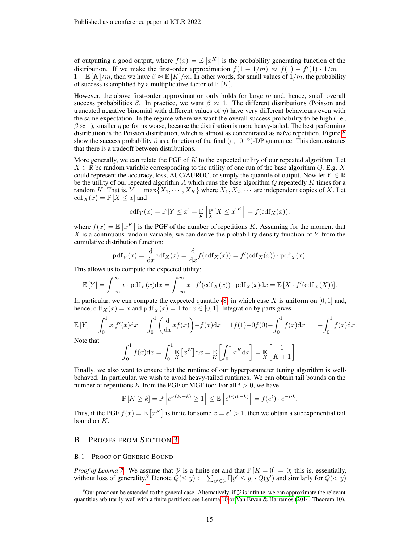of outputting a good output, where  $f(x) = \mathbb{E}[x^K]$  is the probability generating function of the distribution. If we make the first-order approximation  $f(1 - 1/m) \approx f(1) - f'(1) \cdot 1/m =$  $1 - \mathbb{E}[K]/m$ , then we have  $\beta \approx \mathbb{E}[K]/m$ . In other words, for small values of  $1/m$ , the probability of success is amplified by a multiplicative factor of  $E[K]$ .

However, the above first-order approximation only holds for large  $m$  and, hence, small overall success probabilities β. In practice, we want  $\beta \approx 1$ . The different distributions (Poisson and truncated negative binomial with different values of  $\eta$ ) have very different behaviours even with the same expectation. In the regime where we want the overall success probability to be high (i.e.,  $\beta \approx 1$ ), smaller  $\eta$  performs worse, because the distribution is more heavy-tailed. The best performing distribution is the Poisson distribution, which is almost as concentrated as naïve repetition. Figure [6](#page-7-3) show the success probability  $\beta$  as a function of the final  $(\epsilon, 10^{-6})$ -DP guarantee. This demonstrates that there is a tradeoff between distributions.

More generally, we can relate the PGF of  $K$  to the expected utility of our repeated algorithm. Let  $X \in \mathbb{R}$  be random variable corresponding to the utility of one run of the base algorithm Q. E.g. X could represent the accuracy, loss, AUC/AUROC, or simply the quantile of output. Now let  $Y \in \mathbb{R}$ be the utility of our repeated algorithm A which runs the base algorithm  $Q$  repeatedly  $K$  times for a random K. That is,  $Y = \max\{X_1, \dots, X_K\}$  where  $X_1, X_2, \dots$  are independent copies of X. Let  $\operatorname{cdf}_X(x) = \mathbb{P}[X \leq x]$  and

$$
\mathrm{cdf}_Y(x) = \mathbb{P}\left[Y \le x\right] = \mathbb{E}\left[\mathbb{P}\left[X \le x\right]^K\right] = f(\mathrm{cdf}_X(x)),
$$

where  $f(x) = \mathbb{E}\left[x^K\right]$  is the PGF of the number of repetitions K. Assuming for the moment that  $X$  is a continuous random variable, we can derive the probability density function of  $Y$  from the cumulative distribution function:

$$
\mathrm{pdf}_{Y}(x) = \frac{\mathrm{d}}{\mathrm{d}x}\mathrm{cdf}_{X}(x) = \frac{\mathrm{d}}{\mathrm{d}x}f(\mathrm{cdf}_{X}(x)) = f'(\mathrm{cdf}_{X}(x)) \cdot \mathrm{pdf}_{X}(x).
$$

This allows us to compute the expected utility:

$$
\mathbb{E}[Y] = \int_{-\infty}^{\infty} x \cdot \text{pdf}_Y(x) dx = \int_{-\infty}^{\infty} x \cdot f'(\text{cdf}_X(x)) \cdot \text{pdf}_X(x) dx = \mathbb{E}[X \cdot f'(\text{cdf}_X(X))].
$$

In particular, we can compute the expected quantile [\(8\)](#page-8-0) in which case X is uniform on  $[0, 1]$  and, hence,  $cdf_X(x) = x$  and  $pdf_X(x) = 1$  for  $x \in [0, 1]$ . Integration by parts gives

$$
\mathbb{E}[Y] = \int_0^1 x \cdot f'(x) dx = \int_0^1 \left(\frac{d}{dx} x f(x)\right) - f(x) dx = 1f(1) - 0f(0) - \int_0^1 f(x) dx = 1 - \int_0^1 f(x) dx.
$$
  
Note that 
$$
\int_0^1 f(x) dx = \int_0^1 \mathbb{E}[xK] dx = \mathbb{E}\left[\int_0^1 xK dx\right] = \mathbb{E}\left[\int_0^1 1 dx\right] = \mathbb{E}\left[\int_0^1 1 dx\right] = \mathbb{E}\left[\int_0^1 1 dx\right] = \mathbb{E}\left[\int_0^1 1 dx\right] = \mathbb{E}\left[\int_0^1 1 dx\right] = \mathbb{E}\left[\int_0^1 1 dx\right] = \mathbb{E}\left[\int_0^1 1 dx\right] = \mathbb{E}\left[\int_0^1 1 dx\right] = \mathbb{E}\left[\int_0^1 1 dx\right] = \mathbb{E}\left[\int_0^1 1 dx\right] = \mathbb{E}\left[\int_0^1 1 dx\right] = \mathbb{E}\left[\int_0^1 1 dx\right] = \mathbb{E}\left[\int_0^1 1 dx\right] = \mathbb{E}\left[\int_0^1 1 dx\right] = \mathbb{E}\left[\int_0^1 1 dx\right] = \mathbb{E}\left[\int_0^1 1 dx\right] = \mathbb{E}\left[\int_0^1 1 dx\right] = \mathbb{E}\left[\int_0^1 1 dx\right] = \mathbb{E}\left[\int_0^1 1 dx\right] = \mathbb{E}\left[\int_0^1 1 dx\right] = \mathbb{E}\left[\int_0^1 1 dx\right] = \mathbb{E}\left[\int_0^1 1 dx\right] = \mathbb{E}\left[\int_0^1 1 dx\right] = \mathbb{E}\left[\int_0^1 1 dx\right] = \mathbb{E}\left[\int_0^1 1 dx\right] = \mathbb{E}\left[\int_0^1 1 dx\right] = \mathbb{E}\left[\int_0^1 1 dx\right] = \mathbb{E}\left[\int_0^1 1 dx\right] = \mathbb{E}\left[\int_0^1 1 dx\right] = \mathbb{E}\left[\int_0^1 1 dx\right] = \mathbb{E}\left[\int_0^
$$

$$
\int_0^1 f(x) dx = \int_0^1 \mathbb{E} \left[ x^K \right] dx = \mathbb{E} \left[ \int_0^1 x^K dx \right] = \mathbb{E} \left[ \frac{1}{K+1} \right].
$$

Finally, we also want to ensure that the runtime of our hyperparameter tuning algorithm is wellbehaved. In particular, we wish to avoid heavy-tailed runtimes. We can obtain tail bounds on the number of repetitions K from the PGF or MGF too: For all  $t > 0$ , we have

$$
\mathbb{P}\left[K \geq k\right] = \mathbb{P}\left[e^{t \cdot (K - k)} \geq 1\right] \leq \mathbb{E}\left[e^{t \cdot (K - k)}\right] = f(e^t) \cdot e^{-t \cdot k}.
$$

Thus, if the PGF  $f(x) = \mathbb{E} [x^K]$  is finite for some  $x = e^t > 1$ , then we obtain a subexponential tail bound on  $K$ .

# B PROOFS FROM SECTION [3](#page-3-1)

## <span id="page-14-0"></span>B.1 PROOF OF GENERIC BOUND

*Proof of Lemma* [7.](#page-6-4) We assume that  $Y$  is a finite set and that  $\mathbb{P}[K = 0] = 0$ ; this is, essentially, without loss of generality.<sup>[9](#page-14-1)</sup> Denote  $Q(\leq y) := \sum_{y' \in \mathcal{Y}} \mathbb{I}[y' \leq y] \cdot Q(y')$  and similarly for  $Q(< y)$ 

<span id="page-14-1"></span><sup>&</sup>lt;sup>9</sup>Our proof can be extended to the general case. Alternatively, if  $Y$  is infinite, we can approximate the relevant quantities arbitrarily well with a finite partition; see Lemma [10](#page-12-1) or [Van Erven & Harremos](#page-11-3) [\(2014,](#page-11-3) Theorem 10).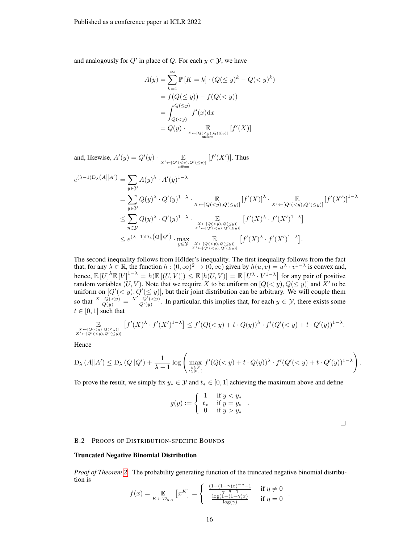and analogously for  $Q'$  in place of Q. For each  $y \in \mathcal{Y}$ , we have

$$
A(y) = \sum_{k=1}^{\infty} \mathbb{P}[K=k] \cdot (Q(\leq y)^k - Q(  
=  $f(Q(\leq y)) - f(Q(  
=  $\int_{Q(  
=  $Q(y) \cdot \mathbb{E}_{X \leftarrow [Q(\leq y), Q($$$
$$

and, likewise,  $A'(y) = Q'(y) \cdot \prod_{\substack{X' \leftarrow [Q'(\leq y), Q'(\leq y)] \\ \text{uniform}}}$  $[f'(X')]$ . Thus

$$
e^{(\lambda-1)D_{\lambda}(A||A')} = \sum_{y \in \mathcal{Y}} A(y)^{\lambda} \cdot A'(y)^{1-\lambda}
$$
  
\n
$$
= \sum_{y \in \mathcal{Y}} Q(y)^{\lambda} \cdot Q'(y)^{1-\lambda} \cdot \sum_{X \leftarrow [Q(  
\n
$$
\leq \sum_{y \in \mathcal{Y}} Q(y)^{\lambda} \cdot Q'(y)^{1-\lambda} \cdot \sum_{\substack{X \leftarrow [Q(  
\n
$$
\leq e^{(\lambda-1)D_{\lambda}(Q||Q')} \cdot \max_{\substack{X \leftarrow [Q(
$$
$$
$$

The second inequality follows from Hölder's inequality. The first inequality follows from the fact that, for any  $\lambda \in \mathbb{R}$ , the function  $h : (0, \infty)^2 \to (0, \infty)$  given by  $h(u, v) = u^{\lambda} \cdot v^{1-\lambda}$  is convex and, hence,  $\mathbb{E}[U]^{\lambda} \mathbb{E}[V]^{1-\lambda} = h(\mathbb{E}[(U,V)]) \leq \mathbb{E}[h(U,V)] = \mathbb{E}[U^{\lambda} \cdot V^{1-\lambda}]$  for any pair of positive random variables  $(U, V)$ . Note that we require X to be uniform on  $[Q(\langle y), Q(\leq y)]$  and X' to be uniform on  $[Q'(< y), Q'(\leq y)]$ , but their joint distribution can be arbitrary. We will couple them so that  $\frac{X-Q(\langle \leq y \rangle)}{Q(y)} = \frac{X'-Q'(\langle \leq y \rangle)}{Q'(y)}$ . In particular, this implies that, for each  $y \in \mathcal{Y}$ , there exists some  $t \in [0, 1]$  such that

$$
\mathop{\mathbb{E}}_{\substack{x \leftarrow [Q(
$$

Hence

$$
D_{\lambda}\left(A\|A'\right) \leq D_{\lambda}\left(Q\|Q'\right) + \frac{1}{\lambda - 1}\log\left(\max_{\substack{y \in \mathcal{Y} \\ t \in [0,1]}} f'(Q(
$$

.

.

To prove the result, we simply fix  $y_* \in \mathcal{Y}$  and  $t_* \in [0,1]$  achieving the maximum above and define

$$
g(y) := \begin{cases} 1 & \text{if } y < y_* \\ t_* & \text{if } y = y_* \\ 0 & \text{if } y > y_* \end{cases}
$$

 $\Box$ 

## <span id="page-15-0"></span>B.2 PROOFS OF DISTRIBUTION-SPECIFIC BOUNDS

## Truncated Negative Binomial Distribution

*Proof of Theorem [2.](#page-4-2)* The probability generating function of the truncated negative binomial distribution is

$$
f(x) = \mathop{\mathbb{E}}_{K \leftarrow \mathcal{D}_{\eta, \gamma}} \left[ x^K \right] = \begin{cases} \frac{(1 - (1 - \gamma)x)^{-\eta} - 1}{\gamma^{-\eta} - 1} & \text{if } \eta \neq 0\\ \frac{\log(1 - (1 - \gamma)x)}{\log(\gamma)} & \text{if } \eta = 0 \end{cases}
$$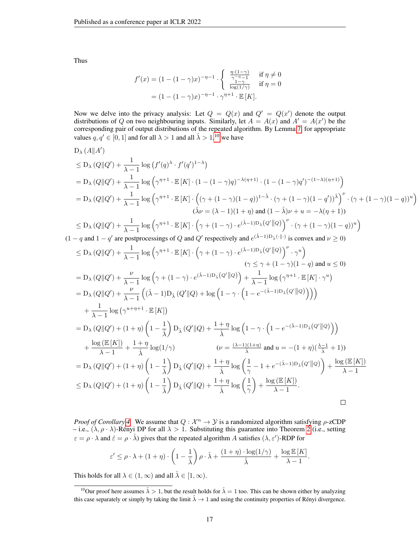Thus

 $(1)$ 

$$
f'(x) = (1 - (1 - \gamma)x)^{-\eta - 1} \cdot \begin{cases} \frac{\eta \cdot (1 - \gamma)}{\gamma - \eta - 1} & \text{if } \eta \neq 0\\ \frac{1 - \gamma}{\log(1/\gamma)} & \text{if } \eta = 0 \end{cases}
$$
  
=  $(1 - (1 - \gamma)x)^{-\eta - 1} \cdot \gamma^{\eta + 1} \cdot \mathbb{E}[K].$ 

Now we delve into the privacy analysis: Let  $Q = Q(x)$  and  $Q' = Q(x')$  denote the output distributions of Q on two neighbouring inputs. Similarly, let  $A = A(x)$  and  $A' = A(x')$  be the corresponding pair of output distributions of the repeated algorithm. By Lemma [7,](#page-6-4) for appropriate values  $q, q' \in [0, 1]$  and for all  $\lambda > 1$  and all  $\hat{\lambda} > 1, 10$  $\hat{\lambda} > 1, 10$  we have

D<sub>λ</sub>(A||A')  
\n
$$
\leq D_{\lambda} (Q||Q') + \frac{1}{\lambda - 1} \log (f'(q)^{\lambda} \cdot f'(q')^{1-\lambda})
$$
\n
$$
= D_{\lambda} (Q||Q') + \frac{1}{\lambda - 1} \log (\gamma^{\eta+1} \cdot \mathbb{E}[K] \cdot (1 - (1 - \gamma)q)^{-\lambda(\eta+1)} \cdot (1 - (1 - \gamma)q')^{-(1-\lambda)(\eta+1)})
$$
\n
$$
= D_{\lambda} (Q||Q') + \frac{1}{\lambda - 1} \log (\gamma^{\eta+1} \cdot \mathbb{E}[K] \cdot ((\gamma + (1 - \gamma)(1 - q))^{1-\lambda} \cdot (\gamma + (1 - \gamma)(1 - q'))^{\lambda})' \cdot (\gamma + (1 - \gamma)(1 - q))^{u})
$$
\n
$$
(\lambda \nu = (\lambda - 1)(1 + \eta) \text{ and } (1 - \lambda)\nu + u = -\lambda(\eta + 1))
$$
\n
$$
\leq D_{\lambda} (Q||Q') + \frac{1}{\lambda - 1} \log (\gamma^{\eta+1} \cdot \mathbb{E}[K] \cdot (\gamma + (1 - \gamma) \cdot e^{(\lambda - 1)D_{\lambda}(Q'||Q)})' \cdot (\gamma + (1 - \gamma)(1 - q))^{u})
$$
\n
$$
-q \text{ and } 1 - q' \text{ are postprocessing of } Q \text{ and } Q' \text{ respectively and } e^{(\lambda - 1)D_{\lambda}(q'||Q)} \text{ is convex and } \nu \geq 0)
$$
\n
$$
\leq D_{\lambda} (Q||Q') + \frac{1}{\lambda - 1} \log (\gamma^{\eta+1} \cdot \mathbb{E}[K] \cdot (\gamma + (1 - \gamma) \cdot e^{(\lambda - 1)D_{\lambda}(Q'||Q)})' \cdot \gamma^{u})
$$
\n
$$
(\gamma \leq \gamma + (1 - \gamma)(1 - q) \text{ and } u \leq 0)
$$
\n
$$
= D_{\lambda} (Q||Q') + \frac{\nu}{\lambda - 1} \log (\gamma + (1 - \gamma) \cdot e^{(\lambda - 1)D_{\lambda}(Q'||Q)}) + \frac{1}{\lambda - 1} \log (\gamma^{\eta+1} \cdot \mathbb{E}[K] \cdot \gamma^{u})
$$
\n
$$
= D_{\lambda} (Q||Q') + \frac{\nu}{
$$

*Proof of Corollary [4.](#page-5-0)* We assume that  $Q : \mathcal{X}^n \to \mathcal{Y}$  is a randomized algorithm satisfying  $\rho$ -zCDP – i.e.,  $(\lambda, \rho \cdot \lambda)$ -Rényi DP for all  $\lambda > 1$ . Substituting this guarantee into Theorem [2](#page-4-2) (i.e., setting  $\varepsilon = \rho \cdot \lambda$  and  $\hat{\varepsilon} = \rho \cdot \hat{\lambda}$ ) gives that the repeated algorithm A satisfies  $(\lambda, \varepsilon')$ -RDP for

$$
\varepsilon' \leq \rho \cdot \lambda + (1 + \eta) \cdot \left(1 - \frac{1}{\hat{\lambda}}\right) \rho \cdot \hat{\lambda} + \frac{(1 + \eta) \cdot \log(1/\gamma)}{\hat{\lambda}} + \frac{\log \mathbb{E}[K]}{\lambda - 1}
$$

.

This holds for all  $\lambda \in (1, \infty)$  and all  $\hat{\lambda} \in [1, \infty)$ .

<span id="page-16-0"></span><sup>&</sup>lt;sup>10</sup>Our proof here assumes  $\hat{\lambda} > 1$ , but the result holds for  $\hat{\lambda} = 1$  too. This can be shown either by analyzing this case separately or simply by taking the limit  $\hat{\lambda} \to 1$  and using the continuity properties of Rényi divergence.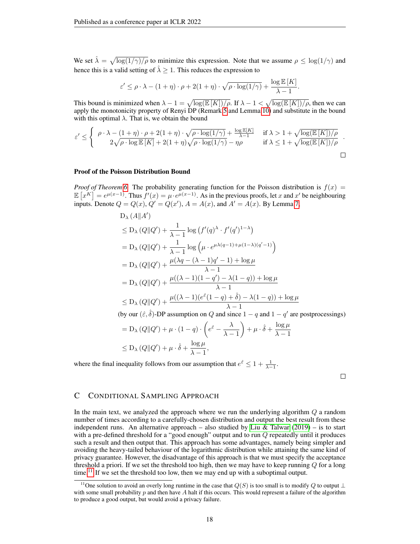We set  $\hat{\lambda} = \sqrt{\log(1/\gamma)/\rho}$  to minimize this expression. Note that we assume  $\rho \le \log(1/\gamma)$  and hence this is a valid setting of  $\hat{\lambda} \geq 1$ . This reduces the expression to

$$
\varepsilon' \leq \rho \cdot \lambda - (1+\eta) \cdot \rho + 2(1+\eta) \cdot \sqrt{\rho \cdot \log(1/\gamma)} + \frac{\log \mathbb{E} \left[ K \right]}{\lambda - 1}.
$$

This bound is minimized when  $\lambda - 1 = \sqrt{\log(E[K])/\rho}$ . If  $\lambda - 1 < \sqrt{\log(E[K])/\rho}$ , then we can apply the monotonicity property of Renyi DP (Remark [5](#page-5-6) and Lemma [10\)](#page-12-1) and substitute in the bound with this optimal  $\lambda$ . That is, we obtain the bound

$$
\varepsilon' \leq \begin{cases} \rho \cdot \lambda - (1 + \eta) \cdot \rho + 2(1 + \eta) \cdot \sqrt{\rho \cdot \log(1/\gamma)} + \frac{\log \mathbb{E}[K]}{\lambda - 1} & \text{if } \lambda > 1 + \sqrt{\log(\mathbb{E}[K])/\rho} \\ 2\sqrt{\rho \cdot \log \mathbb{E}[K]} + 2(1 + \eta)\sqrt{\rho \cdot \log(1/\gamma)} - \eta\rho & \text{if } \lambda \leq 1 + \sqrt{\log(\mathbb{E}[K])/\rho} \end{cases} \, .
$$

## Proof of the Poisson Distribution Bound

*Proof of Theorem* [6.](#page-6-1) The probability generating function for the Poisson distribution is  $f(x) =$  $\mathbb{E}[x^K] = e^{\mu(x-1)}$ . Thus  $f'(x) = \mu \cdot e^{\mu(x-1)}$ . As in the previous proofs, let x and x' be neighbouring inputs. Denote  $Q = Q(x)$ ,  $Q' = Q(x')$ ,  $A = A(x)$ , and  $A' = A(x)$ . By Lemma [7,](#page-6-4)

$$
D_{\lambda} (A||A')
$$
  
\n
$$
\leq D_{\lambda} (Q||Q') + \frac{1}{\lambda - 1} \log (f'(q)^{\lambda} \cdot f'(q')^{1-\lambda})
$$
  
\n
$$
= D_{\lambda} (Q||Q') + \frac{1}{\lambda - 1} \log (\mu \cdot e^{\mu \lambda (q-1) + \mu (1-\lambda)(q'-1)})
$$
  
\n
$$
= D_{\lambda} (Q||Q') + \frac{\mu(\lambda q - (\lambda - 1)q' - 1) + \log \mu}{\lambda - 1}
$$
  
\n
$$
= D_{\lambda} (Q||Q') + \frac{\mu((\lambda - 1)(1 - q') - \lambda(1 - q)) + \log \mu}{\lambda - 1}
$$
  
\n
$$
\leq D_{\lambda} (Q||Q') + \frac{\mu((\lambda - 1)(e^{\varepsilon}(1 - q) + \hat{\delta}) - \lambda(1 - q)) + \log \mu}{\lambda - 1}
$$

(by our  $(\hat{\varepsilon}, \hat{\delta})$ -DP assumption on Q and since  $1 - q$  and  $1 - q'$  are postprocessings)

$$
= D_{\lambda} (Q \| Q') + \mu \cdot (1 - q) \cdot \left( e^{\hat{\varepsilon}} - \frac{\lambda}{\lambda - 1} \right) + \mu \cdot \hat{\delta} + \frac{\log \mu}{\lambda - 1}
$$
  

$$
\leq D_{\lambda} (Q \| Q') + \mu \cdot \hat{\delta} + \frac{\log \mu}{\lambda - 1},
$$

where the final inequality follows from our assumption that  $e^{\hat{\varepsilon}} \leq 1 + \frac{1}{\lambda - 1}$ .

 $\Box$ 

# <span id="page-17-1"></span>C CONDITIONAL SAMPLING APPROACH

In the main text, we analyzed the approach where we run the underlying algorithm  $Q$  a random number of times according to a carefully-chosen distribution and output the best result from these independent runs. An alternative approach – also studied by [Liu & Talwar](#page-10-10)  $(2019)$  – is to start with a pre-defined threshold for a "good enough" output and to run Q repeatedly until it produces such a result and then output that. This approach has some advantages, namely being simpler and avoiding the heavy-tailed behaviour of the logarithmic distribution while attaining the same kind of privacy guarantee. However, the disadvantage of this approach is that we must specify the acceptance threshold a priori. If we set the threshold too high, then we may have to keep running  $Q$  for a long time.<sup>[11](#page-17-0)</sup> If we set the threshold too low, then we may end up with a suboptimal output.

<span id="page-17-0"></span><sup>&</sup>lt;sup>11</sup>One solution to avoid an overly long runtime in the case that  $Q(S)$  is too small is to modify Q to output ⊥ with some small probability  $p$  and then have  $A$  halt if this occurs. This would represent a failure of the algorithm to produce a good output, but would avoid a privacy failure.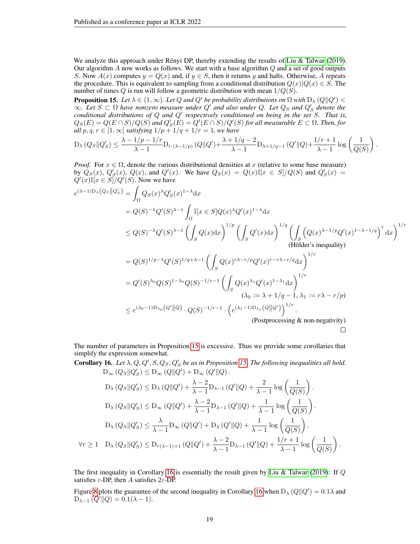We analyze this approach under Rényi DP, thereby extending the results of [Liu & Talwar](#page-10-10) [\(2019\)](#page-10-10). Our algorithm  $A$  now works as follows. We start with a base algorithm  $Q$  and a set of good outputs S. Now  $A(x)$  computes  $y = Q(x)$  and, if  $y \in S$ , then it returns y and halts. Otherwise, A repeats the procedure. This is equivalent to sampling from a conditional distribution  $Q(x)|Q(x) \in S$ . The number of times Q is run will follow a geometric distribution with mean  $1/Q(S)$ .

<span id="page-18-0"></span>**Proposition 15.** Let  $\lambda \in (1, \infty)$ . Let Q and Q' be probability distributions on  $\Omega$  with  $D_{\lambda}(Q||Q') <$  $\infty$ *. Let*  $S \subset \Omega$  have nonzero measure under  $Q'$  and also under Q. Let  $Q_S$  and  $Q'_S$  denote the S *conditional distributions of* Q *and* Q<sup>0</sup> *respectively conditioned on being in the set* S*. That is,*  $Q_S(E) = Q(E \cap S)/Q(S)$  and  $Q_S'(E) = Q'(E \cap S)/Q'(S)$  for all measurable  $E \subset \Omega$ . Then, for *all*  $p, q, r \in [1, \infty]$  *satisfying*  $1/p + 1/q + 1/r = 1$ *, we have* 

$$
D_{\lambda}(Q_S || Q'_S) \leq \frac{\lambda - 1/p - 1/r}{\lambda - 1} D_{r \cdot (\lambda - 1/p)} (Q || Q') + \frac{\lambda + 1/q - 2}{\lambda - 1} D_{\lambda + 1/q - 1} (Q' || Q) + \frac{1/r + 1}{\lambda - 1} \log \left( \frac{1}{Q(S)} \right).
$$

*Proof.* For  $x \in \Omega$ , denote the various distributional densities at x (relative to some base measure) by  $Q_S(x)$ ,  $Q'_S(x)$ ,  $Q(x)$ , and  $Q'(x)$ . We have  $Q_S(x) = Q(x) \mathbb{I}[x \in S]/Q(S)$  and  $Q'_S(x) =$  $Q'(x) \mathbb{I}[x \in S]/Q'(S)$ . Now we have

$$
e^{(\lambda-1)D_{\lambda}(Q_{S}||Q'_{S})} = \int_{\Omega} Q_{S}(x)^{\lambda}Q'_{S}(x)^{1-\lambda}dx
$$
  
\n
$$
= Q(S)^{-\lambda}Q'(S)^{\lambda-1} \int_{\Omega} \mathbb{I}[x \in S]Q(x)^{\lambda}Q'(x)^{1-\lambda}dx
$$
  
\n
$$
\leq Q(S)^{-\lambda}Q'(S)^{\lambda-1} \left(\int_{S} Q(x)dx\right)^{1/p} \left(\int_{S} Q'(x)dx\right)^{1/q} \left(\int_{S} \left(Q(x)^{\lambda-1/p}Q'(x)^{1-\lambda-1/q}\right)^{r}dx\right)^{1/r}
$$
  
\n(Hölder's inequality)  
\n
$$
= Q(S)^{1/p-\lambda}Q'(S)^{1/q+\lambda-1} \left(\int_{S} Q(x)^{r\lambda-r/p}Q'(x)^{r-r\lambda-r/q}dx\right)^{1/r}
$$
  
\n
$$
= Q'(S)^{\lambda_0}Q(S)^{1-\lambda_0}Q(S)^{-1/r-1} \left(\int_{S} Q(x)^{\lambda_1}Q'(x)^{1-\lambda_1}dx\right)^{1/r}
$$
  
\n
$$
(\lambda_0 := \lambda + 1/q - 1, \lambda_1 := r\lambda - r/p)
$$
  
\n
$$
\leq e^{(\lambda_0-1)D_{\lambda_0}(Q'||Q)} \cdot Q(S)^{-1/r-1} \cdot \left(e^{(\lambda_1-1)D_{\lambda_1}(Q||Q')}\right)^{1/r}.
$$
  
\n(Postprocessing & non-negativity)

The number of parameters in Proposition [15](#page-18-0) is excessive. Thus we provide some corollaries that simplify the expression somewhat.

<span id="page-18-1"></span>**Corollary 16.** Let  $\lambda$ , Q, Q', S, Q<sub>S</sub>, Q'<sub>S</sub> be as in Proposition [15.](#page-18-0) The following inequalities all hold.  $D_{\infty}(Q_S || Q'_S) \leq D_{\infty}(Q || Q') + D_{\infty}(Q' || Q).$  $\prime$  $\prime$  $\lambda = 2$  $\prime$  $||Q| + \frac{2}{1}$  $\log \sqrt{\frac{1}{2}}$  $1 \ \ \ \ \ \$ 

$$
D_{\lambda}(Q_{S}||Q'_{S}) \leq D_{\lambda}(Q||Q') + \frac{\lambda - 2}{\lambda - 1}D_{\lambda - 1}(Q'||Q) + \frac{2}{\lambda - 1}\log\left(\frac{1}{Q(S)}\right).
$$
  
\n
$$
D_{\lambda}(Q_{S}||Q'_{S}) \leq D_{\infty}(Q||Q') + \frac{\lambda - 2}{\lambda - 1}D_{\lambda - 1}(Q'||Q) + \frac{1}{\lambda - 1}\log\left(\frac{1}{Q(S)}\right).
$$
  
\n
$$
D_{\lambda}(Q_{S}||Q'_{S}) \leq \frac{\lambda}{\lambda - 1}D_{\infty}(Q||Q') + D_{\lambda}(Q'||Q) + \frac{1}{\lambda - 1}\log\left(\frac{1}{Q(S)}\right).
$$
  
\n
$$
\forall r \geq 1 \quad D_{\lambda}(Q_{S}||Q'_{S}) \leq D_{r(\lambda - 1) + 1}(Q||Q') + \frac{\lambda - 2}{\lambda - 1}D_{\lambda - 1}(Q'||Q) + \frac{1/r + 1}{\lambda - 1}\log\left(\frac{1}{Q(S)}\right).
$$

The first inequality in Corollary [16](#page-18-1) is essentially the result given by [Liu & Talwar](#page-10-10) [\(2019\)](#page-10-10): If  $Q$ satisfies  $\varepsilon$ -DP, then A satisfies  $2\varepsilon$ -DP.

Figure [8](#page-22-0) plots the guarantee of the second inequality in Corollary [16](#page-18-1) when  $D_{\lambda}(Q||Q') = 0.1\lambda$  and  $D_{\lambda-1} (Q' || Q) = 0.1(\lambda - 1).$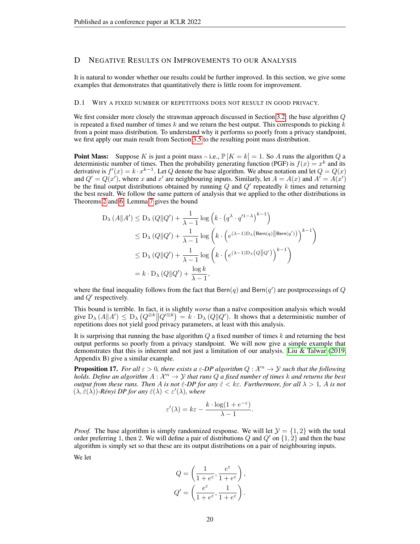# <span id="page-19-1"></span>D NEGATIVE RESULTS ON IMPROVEMENTS TO OUR ANALYSIS

It is natural to wonder whether our results could be further improved. In this section, we give some examples that demonstrates that quantitatively there is little room for improvement.

#### <span id="page-19-0"></span>D.1 WHY A FIXED NUMBER OF REPETITIONS DOES NOT RESULT IN GOOD PRIVACY.

We first consider more closely the strawman approach discussed in Section [3.2:](#page-3-4) the base algorithm Q is repeated a fixed number of times  $k$  and we return the best output. This corresponds to picking  $k$ from a point mass distribution. To understand why it performs so poorly from a privacy standpoint, we first apply our main result from Section [3.5](#page-6-0) to the resulting point mass distribution.

**Point Mass:** Suppose K is just a point mass – i.e.,  $\mathbb{P}[K = k] = 1$ . So A runs the algorithm Q a deterministic number of times. Then the probability generating function (PGF) is  $f(x) = x^k$  and its derivative is  $f'(x) = k \cdot x^{k-1}$ . Let Q denote the base algorithm. We abuse notation and let  $Q = Q(x)$ and  $Q' = Q(x')$ , where x and x' are neighbouring inputs. Similarly, let  $A = A(x)$  and  $A' = A(x')$ be the final output distributions obtained by running  $Q$  and  $Q'$  repeatedly k times and returning the best result. We follow the same pattern of analysis that we applied to the other distributions in Theorems [2](#page-4-2) and [6:](#page-6-1) Lemma [7](#page-6-4) gives the bound

$$
D_{\lambda} (A||A') \leq D_{\lambda} (Q||Q') + \frac{1}{\lambda - 1} \log \left( k \cdot (q^{\lambda} \cdot q'^{1 - \lambda})^{k - 1} \right)
$$
  
\n
$$
\leq D_{\lambda} (Q||Q') + \frac{1}{\lambda - 1} \log \left( k \cdot \left( e^{(\lambda - 1)D_{\lambda} \left( \text{Bern}(q) || \text{Bern}(q') \right)} \right)^{k - 1} \right)
$$
  
\n
$$
\leq D_{\lambda} (Q||Q') + \frac{1}{\lambda - 1} \log \left( k \cdot \left( e^{(\lambda - 1)D_{\lambda} \left( Q||Q' \right)} \right)^{k - 1} \right)
$$
  
\n
$$
= k \cdot D_{\lambda} (Q||Q') + \frac{\log k}{\lambda - 1},
$$

where the final inequality follows from the fact that  $\text{Bern}(q)$  and  $\text{Bern}(q')$  are postprocessings of Q and  $Q'$  respectively.

This bound is terrible. In fact, it is slightly *worse* than a naïve composition analysis which would give  $D_{\lambda}(A||A') \leq D_{\lambda}(Q^{\otimes k}||Q'^{\otimes k}) = k \cdot D_{\lambda}(Q||Q')$ . It shows that a deterministic number of repetitions does not yield good privacy parameters, at least with this analysis.

It is surprising that running the base algorithm  $Q$  a fixed number of times  $k$  and returning the best output performs so poorly from a privacy standpoint. We will now give a simple example that demonstrates that this is inherent and not just a limitation of our analysis. [Liu & Talwar](#page-10-10) [\(2019,](#page-10-10) Appendix B) give a similar example.

<span id="page-19-2"></span>**Proposition 17.** For all  $\varepsilon > 0$ , there exists a  $\varepsilon$ -DP algorithm  $Q : \mathcal{X}^n \to \mathcal{Y}$  such that the following holds. Define an algorithm  $A: \mathcal{X}^n \to \mathcal{Y}$  that runs  $Q$  a fixed number of times  $k$  and returns the best *output from these runs. Then* A *is not*  $\hat{\varepsilon}$ -DP for any  $\hat{\varepsilon}$  < k $\varepsilon$ . Furthermore, for all  $\lambda > 1$ , A *is not*  $(\lambda, \hat{\varepsilon}(\lambda))$ -Rényi DP for any  $\hat{\varepsilon}(\lambda) < \varepsilon'(\lambda)$ , where

$$
\varepsilon'(\lambda) = k\varepsilon - \frac{k \cdot \log(1 + e^{-\varepsilon})}{\lambda - 1}.
$$

*Proof.* The base algorithm is simply randomized response. We will let  $\mathcal{Y} = \{1, 2\}$  with the total order preferring 1, then 2. We will define a pair of distributions Q and  $Q'$  on  $\{1, 2\}$  and then the base algorithm is simply set so that these are its output distributions on a pair of neighbouring inputs.

We let

$$
Q = \left(\frac{1}{1 + e^{\varepsilon}}, \frac{e^{\varepsilon}}{1 + e^{\varepsilon}}\right),
$$
  

$$
Q' = \left(\frac{e^{\varepsilon}}{1 + e^{\varepsilon}}, \frac{1}{1 + e^{\varepsilon}}\right).
$$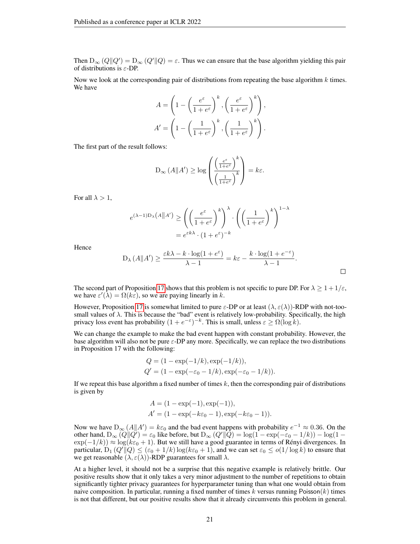Then  $D_{\infty}(Q||Q') = D_{\infty}(Q'||Q) = \varepsilon$ . Thus we can ensure that the base algorithm yielding this pair of distributions is  $\varepsilon$ -DP.

Now we look at the corresponding pair of distributions from repeating the base algorithm  $k$  times. We have

$$
A = \left(1 - \left(\frac{e^{\varepsilon}}{1 + e^{\varepsilon}}\right)^k, \left(\frac{e^{\varepsilon}}{1 + e^{\varepsilon}}\right)^k\right),
$$
  

$$
A' = \left(1 - \left(\frac{1}{1 + e^{\varepsilon}}\right)^k, \left(\frac{1}{1 + e^{\varepsilon}}\right)^k\right).
$$

The first part of the result follows:

$$
\mathcal{D}_{\infty} (A \| A') \ge \log \left( \frac{\left( \frac{e^{\varepsilon}}{1 + e^{\varepsilon}} \right)^k}{\left( \frac{1}{1 + e^{\varepsilon}} \right)^k} \right) = k\varepsilon.
$$

For all  $\lambda > 1$ ,

$$
e^{(\lambda - 1)D_{\lambda}(A||A')} \ge \left( \left( \frac{e^{\varepsilon}}{1 + e^{\varepsilon}} \right)^{k} \right)^{\lambda} \cdot \left( \left( \frac{1}{1 + e^{\varepsilon}} \right)^{k} \right)^{1 - \lambda}
$$

$$
= e^{\varepsilon k \lambda} \cdot (1 + e^{\varepsilon})^{-k}
$$

Hence

$$
D_{\lambda}(A||A') \ge \frac{\varepsilon k\lambda - k \cdot \log(1 + e^{\varepsilon})}{\lambda - 1} = k\varepsilon - \frac{k \cdot \log(1 + e^{-\varepsilon})}{\lambda - 1}.
$$

 $\Box$ 

The second part of Proposition [17](#page-19-2) shows that this problem is not specific to pure DP. For  $\lambda \geq 1 + 1/\varepsilon$ , we have  $\varepsilon'(\lambda) = \Omega(k\varepsilon)$ , so we are paying linearly in k.

However, Proposition [17](#page-19-2) is somewhat limited to pure  $\varepsilon$ -DP or at least  $(\lambda, \varepsilon(\lambda))$ -RDP with not-toosmall values of  $\lambda$ . This is because the "bad" event is relatively low-probability. Specifically, the high privacy loss event has probability  $(1 + e^{-\varepsilon})^{-k}$ . This is small, unless  $\varepsilon \ge \Omega(\log k)$ .

We can change the example to make the bad event happen with constant probability. However, the base algorithm will also not be pure  $\varepsilon$ -DP any more. Specifically, we can replace the two distributions in Proposition 17 with the following:

$$
Q = (1 - \exp(-1/k), \exp(-1/k)),
$$
  
 
$$
Q' = (1 - \exp(-\varepsilon_0 - 1/k), \exp(-\varepsilon_0 - 1/k)).
$$

If we repeat this base algorithm a fixed number of times  $k$ , then the corresponding pair of distributions is given by

$$
A = (1 - \exp(-1), \exp(-1)),
$$
  
 
$$
A' = (1 - \exp(-k\varepsilon_0 - 1), \exp(-k\varepsilon_0 - 1)).
$$

Now we have  $D_{\infty}(A||A') = k\varepsilon_0$  and the bad event happens with probability  $e^{-1} \approx 0.36$ . On the other hand,  $D_{\infty}(Q||Q') = \varepsilon_0$  like before, but  $D_{\infty}(Q'||Q) = \log(1 - \exp(-\varepsilon_0 - 1/k)) - \log(1 \exp(-1/k) \approx \log(k\varepsilon_0 + 1)$ . But we still have a good guarantee in terms of Rényi divergences. In particular,  $D_1(Q'||Q) \leq (\varepsilon_0 + 1/k) \log(k\varepsilon_0 + 1)$ , and we can set  $\varepsilon_0 \leq o(1/\log k)$  to ensure that we get reasonable  $(\lambda, \varepsilon(\lambda))$ -RDP guarantees for small  $\lambda$ .

At a higher level, it should not be a surprise that this negative example is relatively brittle. Our positive results show that it only takes a very minor adjustment to the number of repetitions to obtain significantly tighter privacy guarantees for hyperparameter tuning than what one would obtain from naive composition. In particular, running a fixed number of times k versus running Poisson $(k)$  times is not that different, but our positive results show that it already circumvents this problem in general.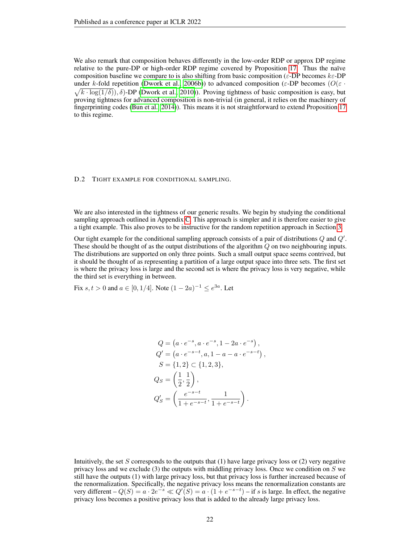We also remark that composition behaves differently in the low-order RDP or approx DP regime relative to the pure-DP or high-order RDP regime covered by Proposition [17.](#page-19-2) Thus the naïve composition baseline we compare to is also shifting from basic composition ( $\varepsilon$ -DP becomes  $k\varepsilon$ -DP under k-fold repetition [\(Dwork et al., 2006b\)](#page-10-2)) to advanced composition ( $\varepsilon$ -DP becomes ( $O(\varepsilon \cdot$  $\sqrt{k \cdot \log(1/\delta)}$ ,  $\delta$ )-DP [\(Dwork et al., 2010\)](#page-10-5)). Proving tightness of basic composition is easy, but proving tightness for advanced composition is non-trivial (in general, it relies on the machinery of fingerprinting codes [\(Bun et al., 2014\)](#page-9-8)). This means it is not straightforward to extend Proposition [17](#page-19-2) to this regime.

#### D.2 TIGHT EXAMPLE FOR CONDITIONAL SAMPLING.

We are also interested in the tightness of our generic results. We begin by studying the conditional sampling approach outlined in Appendix [C.](#page-17-1) This approach is simpler and it is therefore easier to give a tight example. This also proves to be instructive for the random repetition approach in Section [3.](#page-3-1)

Our tight example for the conditional sampling approach consists of a pair of distributions  $Q$  and  $Q'$ . These should be thought of as the output distributions of the algorithm Q on two neighbouring inputs. The distributions are supported on only three points. Such a small output space seems contrived, but it should be thought of as representing a partition of a large output space into three sets. The first set is where the privacy loss is large and the second set is where the privacy loss is very negative, while the third set is everything in between.

Fix  $s, t > 0$  and  $a \in [0, 1/4]$ . Note  $(1 - 2a)^{-1} \le e^{3a}$ . Let

$$
Q = (a \cdot e^{-s}, a \cdot e^{-s}, 1 - 2a \cdot e^{-s}),
$$
  
\n
$$
Q' = (a \cdot e^{-s-t}, a, 1 - a - a \cdot e^{-s-t}),
$$
  
\n
$$
S = \{1, 2\} \subset \{1, 2, 3\},
$$
  
\n
$$
Q_S = \left(\frac{1}{2}, \frac{1}{2}\right),
$$
  
\n
$$
Q'_S = \left(\frac{e^{-s-t}}{1 + e^{-s-t}}, \frac{1}{1 + e^{-s-t}}\right).
$$

Intuitively, the set  $S$  corresponds to the outputs that  $(1)$  have large privacy loss or  $(2)$  very negative privacy loss and we exclude  $(3)$  the outputs with middling privacy loss. Once we condition on S we still have the outputs (1) with large privacy loss, but that privacy loss is further increased because of the renormalization. Specifically, the negative privacy loss means the renormalization constants are very different  $-Q(S) = a \cdot 2e^{-s} \ll Q'(S) = a \cdot (1 + e^{-s-t}) -$  if s is large. In effect, the negative privacy loss becomes a positive privacy loss that is added to the already large privacy loss.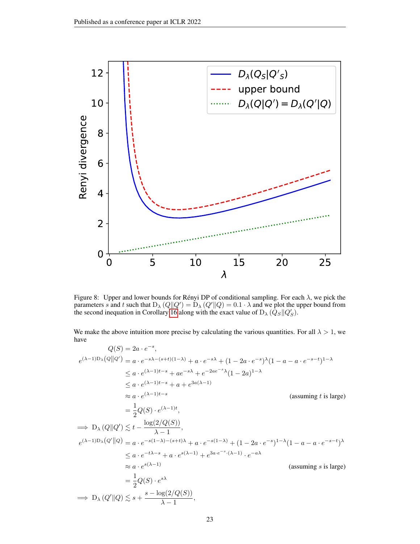

<span id="page-22-0"></span>Figure 8: Upper and lower bounds for Rényi DP of conditional sampling. For each  $\lambda$ , we pick the parameters s and t such that  $D_\lambda(Q||Q') = D_\lambda(Q'||Q) = 0.1 \cdot \lambda$  and we plot the upper bound from the second inequation in Corollary [16](#page-18-1) along with the exact value of  $D_{\lambda}$  ( $\hat{Q}_S || Q_S'$ ).

We make the above intuition more precise by calculating the various quantities. For all  $\lambda > 1$ , we have

$$
Q(S) = 2a \cdot e^{-s},
$$
  
\n
$$
e^{(\lambda-1)D_{\lambda}}(Q||Q') = a \cdot e^{-s\lambda - (s+t)(1-\lambda)} + a \cdot e^{-s\lambda} + (1 - 2a \cdot e^{-s})^{\lambda} (1 - a - a \cdot e^{-s-t})^{1-\lambda}
$$
  
\n
$$
\leq a \cdot e^{(\lambda-1)t-s} + ae^{-s\lambda} + e^{-2ae^{-s}\lambda} (1 - 2a)^{1-\lambda}
$$
  
\n
$$
\leq a \cdot e^{(\lambda-1)t-s} + a + e^{3a(\lambda-1)}
$$
  
\n
$$
\approx a \cdot e^{(\lambda-1)t-s}
$$
  
\n
$$
= \frac{1}{2}Q(S) \cdot e^{(\lambda-1)t},
$$
  
\n
$$
\Rightarrow D_{\lambda}(Q||Q') \leq t - \frac{\log(2/Q(S))}{\lambda - 1},
$$
  
\n
$$
e^{(\lambda-1)D_{\lambda}}(Q'||Q) = a \cdot e^{-s(1-\lambda) - (s+t)\lambda} + a \cdot e^{-s(1-\lambda)} + (1 - 2a \cdot e^{-s})^{1-\lambda} (1 - a - a \cdot e^{-s-t})^{\lambda}
$$
  
\n
$$
\leq a \cdot e^{-t\lambda - s} + a \cdot e^{s(\lambda-1)} + e^{3a \cdot e^{-s} \cdot (\lambda-1)} \cdot e^{-a\lambda}
$$
  
\n
$$
\approx a \cdot e^{s(\lambda-1)}
$$
  
\n
$$
= \frac{1}{2}Q(S) \cdot e^{s\lambda}
$$
  
\n
$$
\Rightarrow D_{\lambda}(Q'||Q) \leq s + \frac{s - \log(2/Q(S))}{\lambda - 1},
$$
  
\n(assuming *s* is large)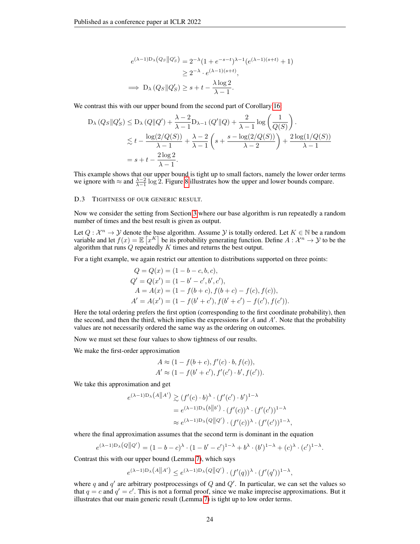$$
e^{(\lambda-1)D_{\lambda}(Q_S||Q'_S)} = 2^{-\lambda}(1+e^{-s-t})^{\lambda-1}(e^{(\lambda-1)(s+t)}+1)
$$
  
\n
$$
\geq 2^{-\lambda} \cdot e^{(\lambda-1)(s+t)},
$$
  
\n
$$
\implies D_{\lambda}(Q_S||Q'_S) \geq s+t-\frac{\lambda \log 2}{\lambda-1}.
$$

We contrast this with our upper bound from the second part of Corollary [16:](#page-18-1)

$$
D_{\lambda}(Q_S || Q'_S) \le D_{\lambda}(Q || Q') + \frac{\lambda - 2}{\lambda - 1} D_{\lambda - 1}(Q' || Q) + \frac{2}{\lambda - 1} \log \left( \frac{1}{Q(S)} \right).
$$
  
\$\le t - \frac{\log(2/Q(S))}{\lambda - 1} + \frac{\lambda - 2}{\lambda - 1} \left( s + \frac{s - \log(2/Q(S))}{\lambda - 2} \right) + \frac{2 \log(1/Q(S))}{\lambda - 1}\$  
= s + t - \frac{2 \log 2}{\lambda - 1}.

This example shows that our upper bound is tight up to small factors, namely the lower order terms we ignore with  $\approx$  and  $\frac{\lambda-2}{\lambda-1}$  log 2. Figure [8](#page-22-0) illustrates how the upper and lower bounds compare.

# D.3 TIGHTNESS OF OUR GENERIC RESULT.

Now we consider the setting from Section [3](#page-3-1) where our base algorithm is run repeatedly a random number of times and the best result is given as output.

Let  $Q: \mathcal{X}^n \to \mathcal{Y}$  denote the base algorithm. Assume  $\mathcal{Y}$  is totally ordered. Let  $K \in \mathbb{N}$  be a random variable and let  $f(x) = \mathbb{E} [x^K]$  be its probability generating function. Define  $A : \mathcal{X}^n \to \mathcal{Y}$  to be the algorithm that runs  $Q$  repeatedly  $K$  times and returns the best output.

For a tight example, we again restrict our attention to distributions supported on three points:

$$
Q = Q(x) = (1 - b - c, b, c),
$$
  
\n
$$
Q' = Q(x') = (1 - b' - c', b', c'),
$$
  
\n
$$
A = A(x) = (1 - f(b + c), f(b + c) - f(c), f(c)),
$$
  
\n
$$
A' = A(x') = (1 - f(b' + c'), f(b' + c') - f(c'), f(c')).
$$

Here the total ordering prefers the first option (corresponding to the first coordinate probability), then the second, and then the third, which implies the expressions for  $A$  and  $A'$ . Note that the probability values are not necessarily ordered the same way as the ordering on outcomes.

Now we must set these four values to show tightness of our results.

We make the first-order approximation

$$
A \approx (1 - f(b + c), f'(c) \cdot b, f(c)),
$$
  
 
$$
A' \approx (1 - f(b' + c'), f'(c') \cdot b', f(c')).
$$

We take this approximation and get

$$
e^{(\lambda - 1)D_{\lambda}(A||A')} \gtrsim (f'(c) \cdot b)^{\lambda} \cdot (f'(c') \cdot b')^{1-\lambda}
$$
  
=  $e^{(\lambda - 1)D_{\lambda}(b||b')} \cdot (f'(c))^{\lambda} \cdot (f'(c'))^{1-\lambda}$   
 $\approx e^{(\lambda - 1)D_{\lambda}(Q||Q')} \cdot (f'(c))^{\lambda} \cdot (f'(c'))^{1-\lambda},$ 

where the final approximation assumes that the second term is dominant in the equation

$$
e^{(\lambda-1)D_{\lambda}(Q\|Q')} = (1-b-c)^{\lambda} \cdot (1-b'-c')^{1-\lambda} + b^{\lambda} \cdot (b')^{1-\lambda} + (c)^{\lambda} \cdot (c')^{1-\lambda}.
$$

Contrast this with our upper bound (Lemma [7\)](#page-6-4), which says

$$
e^{(\lambda - 1)D_{\lambda}(A||A')} \le e^{(\lambda - 1)D_{\lambda}(Q||Q')} \cdot (f'(q))^{\lambda} \cdot (f'(q'))^{1-\lambda},
$$

where q and  $q'$  are arbitrary postprocessings of Q and  $Q'$ . In particular, we can set the values so that  $q = c$  and  $q' = c'$ . This is not a formal proof, since we make imprecise approximations. But it illustrates that our main generic result (Lemma [7\)](#page-6-4) is tight up to low order terms.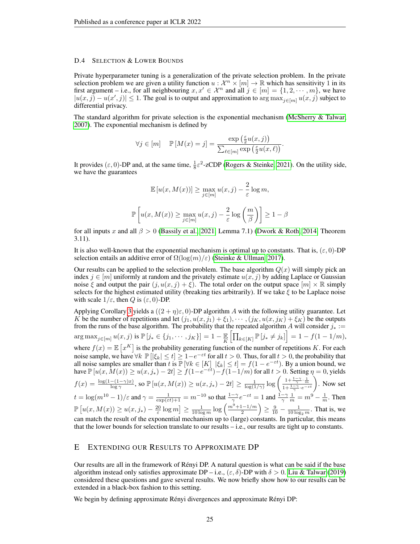## D.4 SELECTION & LOWER BOUNDS

Private hyperparameter tuning is a generalization of the private selection problem. In the private selection problem we are given a utility function  $u : \mathcal{X}^n \times [m] \to \mathbb{R}$  which has sensitivity 1 in its first argument – i.e., for all neighbouring  $x, x' \in \mathcal{X}^n$  and all  $j \in [m] = \{1, 2, \dots, m\}$ , we have  $|u(x,j) - u(x',j)| \leq 1$ . The goal is to output and approximation to  $\arg \max_{j \in [m]} u(x,j)$  subject to differential privacy.

The standard algorithm for private selection is the exponential mechanism [\(McSherry & Talwar,](#page-10-12) [2007\)](#page-10-12). The exponential mechanism is defined by

$$
\forall j \in [m] \quad \mathbb{P}\left[M(x) = j\right] = \frac{\exp\left(\frac{\varepsilon}{2}u(x,j)\right)}{\sum_{\ell \in [m]} \exp\left(\frac{\varepsilon}{2}u(x,\ell)\right)}.
$$

It provides  $(\epsilon, 0)$ -DP and, at the same time,  $\frac{1}{8}\epsilon^2$ -zCDP [\(Rogers & Steinke, 2021\)](#page-10-16). On the utility side, we have the guarantees

$$
\mathbb{E}\left[u(x, M(x))\right] \ge \max_{j \in [m]} u(x, j) - \frac{2}{\varepsilon} \log m,
$$

$$
\mathbb{P}\left[u(x, M(x)) \ge \max_{j \in [m]} u(x, j) - \frac{2}{\varepsilon} \log \left(\frac{m}{\beta}\right)\right] \ge 1 - \beta
$$

for all inputs x and all  $\beta > 0$  [\(Bassily et al., 2021,](#page-9-9) Lemma 7.1) [\(Dwork & Roth, 2014,](#page-10-8) Theorem 3.11).

It is also well-known that the exponential mechanism is optimal up to constants. That is,  $(\varepsilon, 0)$ -DP selection entails an additive error of  $\Omega(\log(m)/\varepsilon)$  [\(Steinke & Ullman, 2017\)](#page-10-17).

Our results can be applied to the selection problem. The base algorithm  $Q(x)$  will simply pick an index  $j \in [m]$  uniformly at random and the privately estimate  $u(x, j)$  by adding Laplace or Gaussian noise  $\xi$  and output the pair  $(j, u(x, j) + \xi)$ . The total order on the output space  $[m] \times \mathbb{R}$  simply selects for the highest estimated utility (breaking ties arbitrarily). If we take  $\xi$  to be Laplace noise with scale  $1/\varepsilon$ , then Q is  $(\varepsilon, 0)$ -DP.

Applying Corollary [3](#page-5-1) yields a  $((2 + \eta)\varepsilon, 0)$ -DP algorithm A with the following utility guarantee. Let K be the number of repetitions and let  $(j_1, u(x, j_1) + \xi_1), \cdots, (j_K, u(x, j_K) + \xi_K)$  be the outputs from the runs of the base algorithm. The probability that the repeated algorithm A will consider  $j_* :=$  $\arg \max_{j \in [m]} u(x, j) \text{ is } \mathbb{P}[j_* \in \{j_1, \cdots, j_K\}] = 1 - \frac{\mathbb{E}}{K} \Big[ \prod_{k \in [K]} \mathbb{P}[j_* \neq j_k] \Big] = 1 - f(1 - 1/m),$ where  $f(x) = \mathbb{E}\left[x^K\right]$  is the probability generating function of the number of repetitions K. For each noise sample, we have  $\forall k \mathbb{P} [|\xi_k| \leq t] \geq 1 - e^{-\varepsilon t}$  for all  $t > 0$ . Thus, for all  $t > 0$ , the probability that all noise samples are smaller than t is  $\mathbb{P}[\forall k \in [K] \, |\xi_k| \le t] = f(1 - e^{-\epsilon t})$ . By a union bound, we have  $\mathbb{P}\left[u(x, M(x)) \ge u(x, j_*) - 2t\right] \ge f(1 - e^{-\varepsilon t}) - f(1 - 1/m)$  for all  $t > 0$ . Setting  $\eta = 0$ , yields  $f(x) = \frac{\log(1-(1-\gamma)x)}{\log \gamma}$ , so  $\mathbb{P}\left[u(x, M(x)) \ge u(x, j_*) - 2t\right] \ge \frac{1}{\log(1/\gamma)} \log\left(\frac{1+\frac{1-\gamma}{\gamma} \cdot \frac{1}{m}}{1+\frac{1-\gamma}{\gamma} \cdot e^{-\varepsilon t}}\right)$ . Now set  $t = \log(m^{10} - 1)/\varepsilon$  and  $\gamma = \frac{1}{\exp(\varepsilon t) + 1} = m^{-10}$  so that  $\frac{1 - \gamma}{\gamma} e^{-\varepsilon t} = 1$  and  $\frac{1 - \gamma}{\gamma} \frac{1}{m} = m^9 - \frac{1}{m}$ . Then  $\mathbb{P}\left[u(x, M(x)) \ge u(x, j_*) - \frac{20}{\varepsilon} \log m\right] \ge \frac{1}{10 \log m} \log \left(\frac{m^9 + 1 - 1/m}{2}\right)$  $\left(\frac{n-1}{2}\right) \ge \frac{9}{10} - \frac{1}{10 \log_2 m}$ . That is, we can match the result of the exponential mechanism up to (large) constants. In particular, this means that the lower bounds for selection translate to our results – i.e., our results are tight up to constants.

## E EXTENDING OUR RESULTS TO APPROXIMATE DP

Our results are all in the framework of Rényi DP. A natural question is what can be said if the base algorithm instead only satisfies approximate DP – i.e.,  $(\varepsilon, \delta)$ -DP with  $\delta > 0$ . [Liu & Talwar](#page-10-10) [\(2019\)](#page-10-10) considered these questions and gave several results. We now briefly show how to our results can be extended in a black-box fashion to this setting.

We begin by defining approximate Rényi divergences and approximate Rényi DP: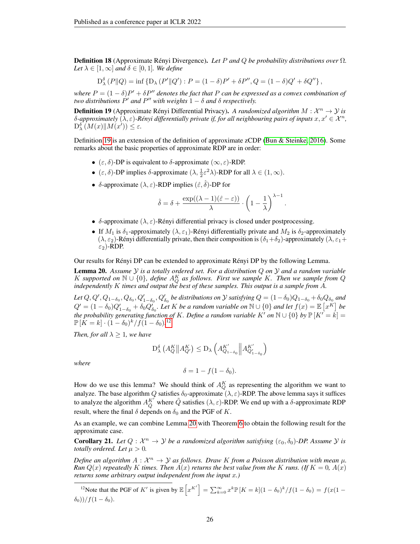Definition 18 (Approximate Rényi Divergence). *Let* P *and* Q *be probability distributions over* Ω*. Let*  $\lambda \in [1, \infty]$  *and*  $\delta \in [0, 1]$ *. We define* 

$$
D^{\delta}_{\lambda}(P\|Q) = \inf \{ D_{\lambda}(P'\|Q') : P = (1 - \delta)P' + \delta P'', Q = (1 - \delta)Q' + \delta Q'' \},\
$$

*where*  $P = (1 - \delta)P' + \delta P''$  denotes the fact that P can be expressed as a convex combination of *two distributions*  $P'$  *and*  $P''$  *with weights*  $1 - \delta$  *and*  $\delta$  *respectively.* 

<span id="page-25-0"></span>**Definition 19** (Approximate Rényi Differential Privacy). A randomized algorithm  $M : \mathcal{X}^n \to \mathcal{Y}$  is δ-approximately  $(λ, ε)$ -Rényi differentially private if, for all neighbouring pairs of inputs  $x, x' ∈ X^n$ ,  $D^{\delta}_{\lambda}(M(x)||M(x')) \leq \varepsilon.$ 

Definition [19](#page-25-0) is an extension of the definition of approximate zCDP [\(Bun & Steinke, 2016\)](#page-9-4). Some remarks about the basic properties of approximate RDP are in order:

- ( $\varepsilon$ ,  $\delta$ )-DP is equivalent to  $\delta$ -approximate ( $\infty$ ,  $\varepsilon$ )-RDP.
- $(\varepsilon, \delta)$ -DP implies  $\delta$ -approximate  $(\lambda, \frac{1}{2}\varepsilon^2 \lambda)$ -RDP for all  $\lambda \in (1, \infty)$ .
- δ-approximate  $(\lambda, \varepsilon)$ -RDP implies  $(\hat{\varepsilon}, \hat{\delta})$ -DP for

$$
\hat{\delta} = \delta + \frac{\exp((\lambda - 1)(\hat{\varepsilon} - \varepsilon))}{\lambda} \cdot \left(1 - \frac{1}{\lambda}\right)^{\lambda - 1}.
$$

- δ-approximate  $(\lambda, \varepsilon)$ -Rényi differential privacy is closed under postprocessing.
- If  $M_1$  is  $\delta_1$ -approximately  $(\lambda, \varepsilon_1)$ -Rényi differentially private and  $M_2$  is  $\delta_2$ -approximately  $(\lambda, \varepsilon_2)$ -Rényi differentially private, then their composition is  $(\delta_1+\delta_2)$ -approximately  $(\lambda, \varepsilon_1+$  $\varepsilon_2$ )-RDP.

Our results for Rényi DP can be extended to approximate Rényi DP by the following Lemma.

<span id="page-25-2"></span>Lemma 20. *Assume* Y *is a totally ordered set. For a distribution* Q *on* Y *and a random variable* K supported on  $\mathbb{N} \cup \{0\}$ , define  $A_Q^K$  as follows. First we sample K. Then we sample from Q *independently* K *times and output the best of these samples. This output is a sample from* A*.*

Let  $Q, Q', Q_{1-\delta_0}, Q_{\delta_0}, Q'_{1-\delta_0}, Q'_{\delta_0}$  be distributions on  $\mathcal Y$  satisfying  $Q = (1-\delta_0)Q_{1-\delta_0} + \delta_0 Q_{\delta_0}$  and  $Q' = (1 - \delta_0)Q'_{1-\delta_0} + \delta_0 Q'_{\delta_0}$ . Let K be a random variable on  $\mathbb{N} \cup \{0\}$  and let  $f(x) = \mathbb{E}\left[x^K\right]$  be *the probability generating function of K. Define a random variable* K' on  $\mathbb{N} \cup \{0\}$  by  $\mathbb{P}[K^{\prime} = k] =$  $\mathbb{P}[\hat{K}=k] \cdot (1-\delta_0)^k / f(1-\delta_0).^{12}$  $\mathbb{P}[\hat{K}=k] \cdot (1-\delta_0)^k / f(1-\delta_0).^{12}$  $\mathbb{P}[\hat{K}=k] \cdot (1-\delta_0)^k / f(1-\delta_0).^{12}$ 

*Then, for all*  $\lambda \geq 1$ *, we have* 

$$
D^{\delta}_{\lambda}\left(A_Q^K\middle\|A_{Q'}^K\right) \leq D_{\lambda}\left(A_{Q_{1-\delta_0}}^{K'}\middle\|A_{Q_{1-\delta_0}}^{K'}\right)
$$

*where*

$$
\delta = 1 - f(1 - \delta_0).
$$

How do we use this lemma? We should think of  $A_Q^K$  as representing the algorithm we want to analyze. The base algorithm Q satisfies  $\delta_0$ -approximate  $(\lambda, \varepsilon)$ -RDP. The above lemma says it suffices to analyze the algorithm  $A_{\tilde{Q}}^{K'}$  where  $\tilde{Q}$  satisfies  $(\lambda, \varepsilon)$ -RDP. We end up with a  $\delta$ -approximate RDP result, where the final  $\delta$  depends on  $\delta_0$  and the PGF of K.

As an example, we can combine Lemma [20](#page-25-2) with Theorem [6](#page-6-1) to obtain the following result for the approximate case.

<span id="page-25-3"></span>**Corollary 21.** Let  $Q : \mathcal{X}^n \to \mathcal{Y}$  be a randomized algorithm satisfying  $(\varepsilon_0, \delta_0)$ -DP. Assume  $\mathcal{Y}$  is *totally ordered. Let*  $\mu > 0$ *.* 

*Define an algorithm*  $A: \mathcal{X}^n \to \mathcal{Y}$  as follows. Draw K from a Poisson distribution with mean  $\mu$ . *Run*  $Q(x)$  *repeatedly* K *times. Then*  $A(x)$  *returns the best value from the* K *runs.* (If  $K = 0$ ,  $A(x)$ ) *returns some arbitrary output independent from the input* x*.)*

<span id="page-25-1"></span><sup>12</sup>Note that the PGF of K' is given by  $\mathbb{E}\left[x^{K'}\right] = \sum_{k=0}^{\infty} x^k \mathbb{P}\left[K = k\right](1-\delta_0)^k / f(1-\delta_0) = f(x(1-\delta_0))^k$  $(\delta_0))/f(1-\delta_0).$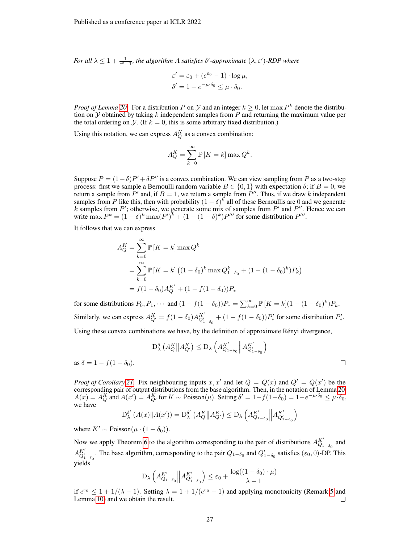*For all*  $\lambda \leq 1 + \frac{1}{e^{\epsilon} - 1}$ , the algorithm A satisfies  $\delta'$ -approximate  $(\lambda, \varepsilon')$ -RDP where

$$
\varepsilon' = \varepsilon_0 + (e^{\varepsilon_0} - 1) \cdot \log \mu,
$$
  

$$
\delta' = 1 - e^{-\mu \cdot \delta_0} \le \mu \cdot \delta_0.
$$

*Proof of Lemma* [20.](#page-25-2) For a distribution P on Y and an integer  $k \geq 0$ , let max  $P^k$  denote the distribution on  $\mathcal Y$  obtained by taking k independent samples from P and returning the maximum value per the total ordering on  $\mathcal Y$ . (If  $k = 0$ , this is some arbitrary fixed distribution.)

Using this notation, we can express  $A_Q^K$  as a convex combination:

$$
A_Q^K = \sum_{k=0}^{\infty} \mathbb{P}\left[K = k\right] \max Q^k.
$$

Suppose  $P = (1 - \delta)P' + \delta P''$  is a convex combination. We can view sampling from P as a two-step process: first we sample a Bernoulli random variable  $B \in \{0, 1\}$  with expectation  $\delta$ ; if  $B = 0$ , we return a sample from  $P'$  and, if  $B = 1$ , we return a sample from  $P''$ . Thus, if we draw k independent samples from P like this, then with probability  $(1 - \delta)^k$  all of these Bernoullis are 0 and we generate k samples from  $P'$ ; otherwise, we generate some mix of samples from  $P'$  and  $P''$ . Hence we can write  $\max P^k = (1 - \delta)^k \max (P')^k + (1 - (1 - \delta)^k) P'''$  for some distribution  $P'''$ .

It follows that we can express

$$
A_Q^K = \sum_{k=0}^{\infty} \mathbb{P}\left[K = k\right] \max Q^k
$$
  
= 
$$
\sum_{k=0}^{\infty} \mathbb{P}\left[K = k\right] \left((1 - \delta_0)^k \max Q_{1 - \delta_0}^k + (1 - (1 - \delta_0)^k) P_k\right)
$$
  
= 
$$
f(1 - \delta_0) A_Q^{K'} + (1 - f(1 - \delta_0)) P_*
$$

for some distributions  $P_0, P_1, \cdots$  and  $(1 - f(1 - \delta_0))P_* = \sum_{k=0}^{\infty} \mathbb{P}[K = k](1 - (1 - \delta_0)^k)P_k$ . Similarly, we can express  $A_{Q'}^K = f(1 - \delta_0) A_{Q'_{1-\delta_0}}^{K'} + (1 - f(1 - \delta_0))P'_*$  for some distribution  $P'_*$ .

Using these convex combinations we have, by the definition of approximate Rényi divergence,

$$
D^{\delta}_{\lambda}\left(A^K_Q \middle\| A^K_{Q'}\right) \le D_{\lambda}\left(A^{K'}_{Q_{1-\delta_0}} \middle\| A^{K'}_{Q'_{1-\delta_0}}\right)
$$
  

$$
f(1-\delta_0).
$$

as  $\delta = 1 - f(1)$ 

*Proof of Corollary* [21.](#page-25-3) Fix neighbouring inputs  $x, x'$  and let  $Q = Q(x)$  and  $Q' = Q(x')$  be the corresponding pair of output distributions from the base algorithm. Then, in the notation of Lemma [20,](#page-25-2)  $A(x) = A_{Q}^{K}$  and  $A(x') = A_{Q'}^{K}$  for  $K \sim \text{Poisson}(\mu)$ . Setting  $\delta' = 1 - f(1 - \delta_0) = 1 - e^{-\mu \cdot \delta_0} \leq \mu \cdot \delta_0$ , we have

$$
D_{\lambda}^{\delta'}\left(A(x)\|A(x')\right) = D_{\lambda}^{\delta'}\left(A_Q^K\|A_{Q'}^K\right) \le D_{\lambda}\left(A_{Q_{1-\delta_0}}^{K'}\left\|A_{Q_{1-\delta_0}'}^{K'}\right\|_{\mathcal{L}^{2}_{-\delta_0}}\right)
$$

where  $K' \sim \text{Poisson}(\mu \cdot (1 - \delta_0)).$ 

Now we apply Theorem [6](#page-6-1) to the algorithm corresponding to the pair of distributions  $A_{Q_1-\delta_0}^{K'}$  and  $A_{Q'_{1-\delta_0}}^{K'}$ . The base algorithm, corresponding to the pair  $Q_{1-\delta_0}$  and  $Q'_{1-\delta_0}$  satisfies ( $\varepsilon_0$ , 0)-DP. This yields

$$
D_{\lambda}\left(A_{Q_{1-\delta_0}}^{K'}\middle\|A_{Q_{1-\delta_0}}^{K'}\right) \leq \varepsilon_0 + \frac{\log((1-\delta_0)\cdot\mu)}{\lambda-1}
$$

if  $e^{\varepsilon_0} \leq 1 + 1/(\lambda - 1)$ . Setting  $\lambda = 1 + 1/(e^{\varepsilon_0} - 1)$  and applying monotonicity (Remark [5](#page-5-6) and Lemma [10\)](#page-12-1) and we obtain the result. □